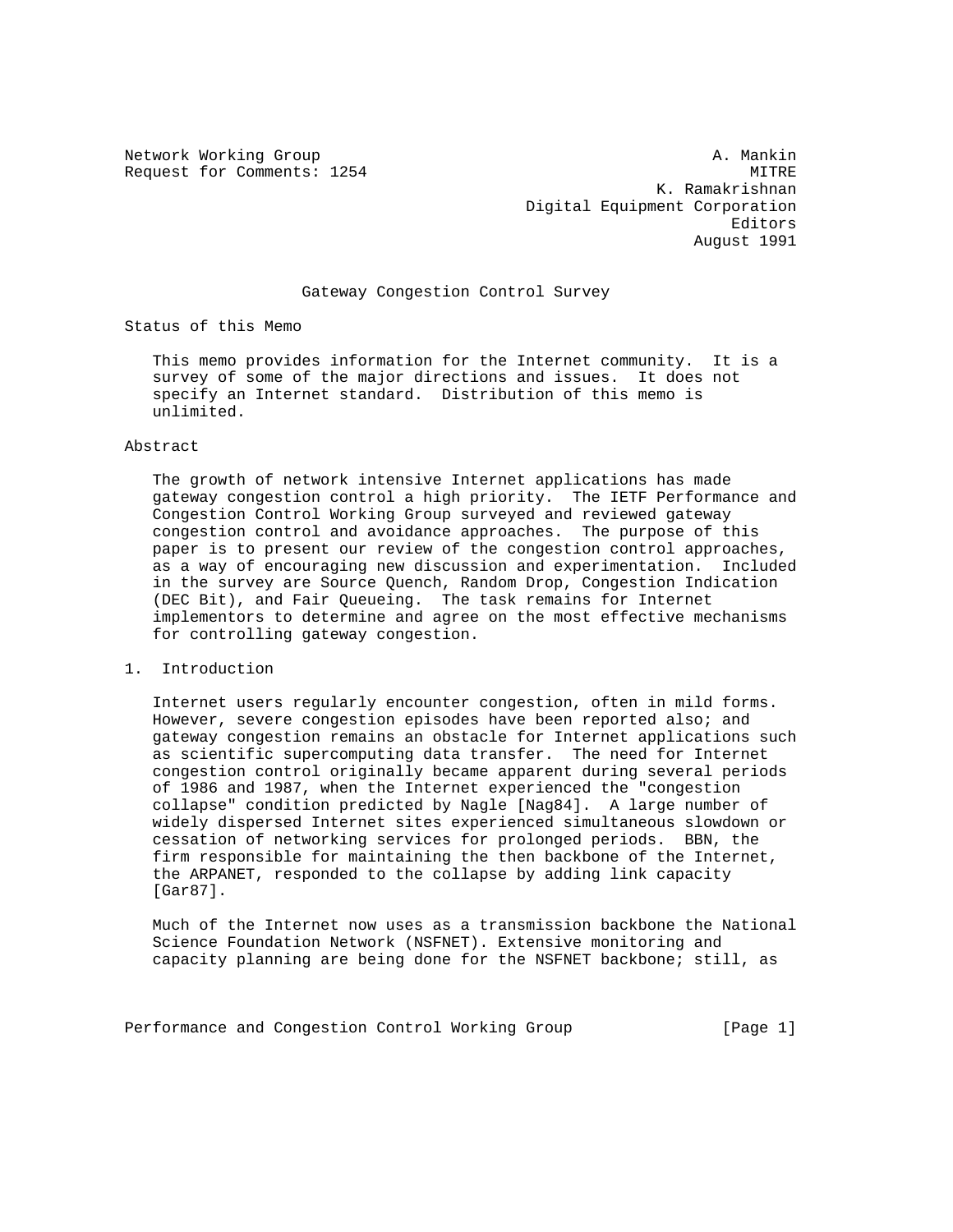Network Working Group and A. Mankin A. Mankin Request for Comments: 1254 MITRE K. Ramakrishnan Digital Equipment Corporation Editors August 1991

## Gateway Congestion Control Survey

Status of this Memo

 This memo provides information for the Internet community. It is a survey of some of the major directions and issues. It does not specify an Internet standard. Distribution of this memo is unlimited.

#### Abstract

 The growth of network intensive Internet applications has made gateway congestion control a high priority. The IETF Performance and Congestion Control Working Group surveyed and reviewed gateway congestion control and avoidance approaches. The purpose of this paper is to present our review of the congestion control approaches, as a way of encouraging new discussion and experimentation. Included in the survey are Source Quench, Random Drop, Congestion Indication (DEC Bit), and Fair Queueing. The task remains for Internet implementors to determine and agree on the most effective mechanisms for controlling gateway congestion.

## 1. Introduction

 Internet users regularly encounter congestion, often in mild forms. However, severe congestion episodes have been reported also; and gateway congestion remains an obstacle for Internet applications such as scientific supercomputing data transfer. The need for Internet congestion control originally became apparent during several periods of 1986 and 1987, when the Internet experienced the "congestion collapse" condition predicted by Nagle [Nag84]. A large number of widely dispersed Internet sites experienced simultaneous slowdown or cessation of networking services for prolonged periods. BBN, the firm responsible for maintaining the then backbone of the Internet, the ARPANET, responded to the collapse by adding link capacity [Gar87].

 Much of the Internet now uses as a transmission backbone the National Science Foundation Network (NSFNET). Extensive monitoring and capacity planning are being done for the NSFNET backbone; still, as

Performance and Congestion Control Working Group [Page 1]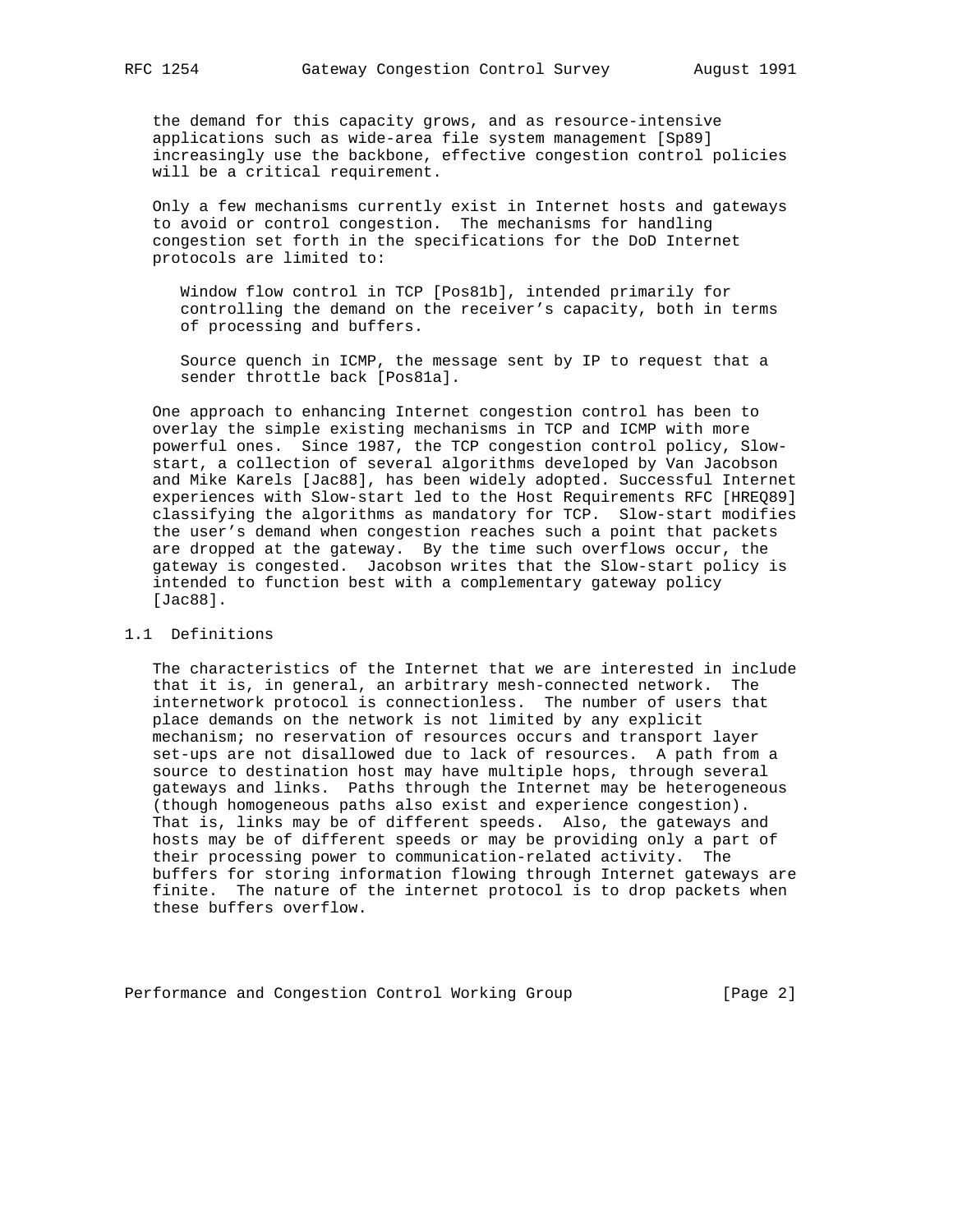the demand for this capacity grows, and as resource-intensive applications such as wide-area file system management [Sp89] increasingly use the backbone, effective congestion control policies will be a critical requirement.

 Only a few mechanisms currently exist in Internet hosts and gateways to avoid or control congestion. The mechanisms for handling congestion set forth in the specifications for the DoD Internet protocols are limited to:

 Window flow control in TCP [Pos81b], intended primarily for controlling the demand on the receiver's capacity, both in terms of processing and buffers.

 Source quench in ICMP, the message sent by IP to request that a sender throttle back [Pos81a].

 One approach to enhancing Internet congestion control has been to overlay the simple existing mechanisms in TCP and ICMP with more powerful ones. Since 1987, the TCP congestion control policy, Slow start, a collection of several algorithms developed by Van Jacobson and Mike Karels [Jac88], has been widely adopted. Successful Internet experiences with Slow-start led to the Host Requirements RFC [HREQ89] classifying the algorithms as mandatory for TCP. Slow-start modifies the user's demand when congestion reaches such a point that packets are dropped at the gateway. By the time such overflows occur, the gateway is congested. Jacobson writes that the Slow-start policy is intended to function best with a complementary gateway policy [Jac88].

# 1.1 Definitions

 The characteristics of the Internet that we are interested in include that it is, in general, an arbitrary mesh-connected network. The internetwork protocol is connectionless. The number of users that place demands on the network is not limited by any explicit mechanism; no reservation of resources occurs and transport layer set-ups are not disallowed due to lack of resources. A path from a source to destination host may have multiple hops, through several gateways and links. Paths through the Internet may be heterogeneous (though homogeneous paths also exist and experience congestion). That is, links may be of different speeds. Also, the gateways and hosts may be of different speeds or may be providing only a part of their processing power to communication-related activity. The buffers for storing information flowing through Internet gateways are finite. The nature of the internet protocol is to drop packets when these buffers overflow.

Performance and Congestion Control Working Group [Page 2]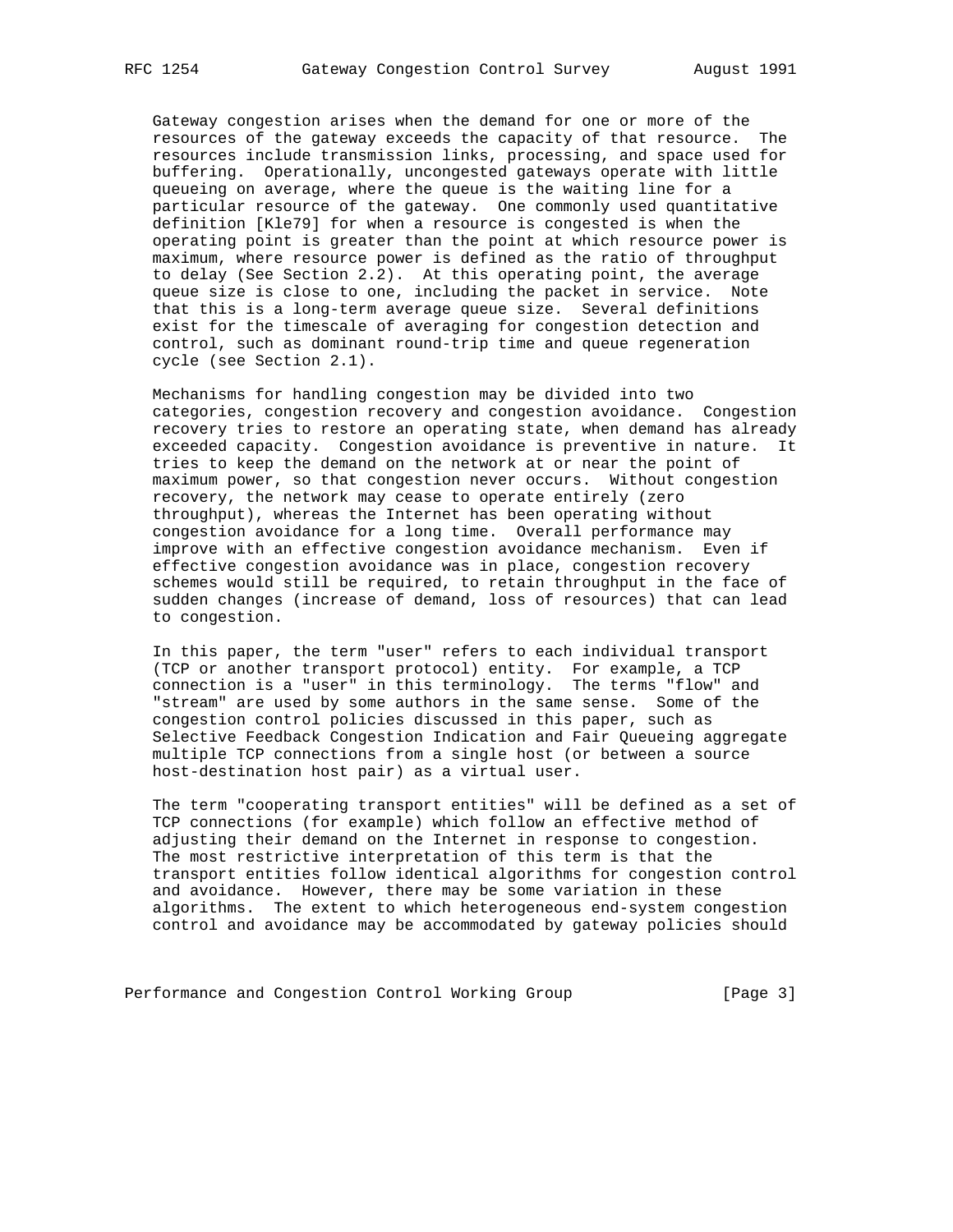Gateway congestion arises when the demand for one or more of the resources of the gateway exceeds the capacity of that resource. The resources include transmission links, processing, and space used for buffering. Operationally, uncongested gateways operate with little queueing on average, where the queue is the waiting line for a particular resource of the gateway. One commonly used quantitative definition [Kle79] for when a resource is congested is when the operating point is greater than the point at which resource power is maximum, where resource power is defined as the ratio of throughput to delay (See Section 2.2). At this operating point, the average queue size is close to one, including the packet in service. Note that this is a long-term average queue size. Several definitions exist for the timescale of averaging for congestion detection and control, such as dominant round-trip time and queue regeneration cycle (see Section 2.1).

 Mechanisms for handling congestion may be divided into two categories, congestion recovery and congestion avoidance. Congestion recovery tries to restore an operating state, when demand has already exceeded capacity. Congestion avoidance is preventive in nature. It tries to keep the demand on the network at or near the point of maximum power, so that congestion never occurs. Without congestion recovery, the network may cease to operate entirely (zero throughput), whereas the Internet has been operating without congestion avoidance for a long time. Overall performance may improve with an effective congestion avoidance mechanism. Even if effective congestion avoidance was in place, congestion recovery schemes would still be required, to retain throughput in the face of sudden changes (increase of demand, loss of resources) that can lead to congestion.

 In this paper, the term "user" refers to each individual transport (TCP or another transport protocol) entity. For example, a TCP connection is a "user" in this terminology. The terms "flow" and "stream" are used by some authors in the same sense. Some of the congestion control policies discussed in this paper, such as Selective Feedback Congestion Indication and Fair Queueing aggregate multiple TCP connections from a single host (or between a source host-destination host pair) as a virtual user.

 The term "cooperating transport entities" will be defined as a set of TCP connections (for example) which follow an effective method of adjusting their demand on the Internet in response to congestion. The most restrictive interpretation of this term is that the transport entities follow identical algorithms for congestion control and avoidance. However, there may be some variation in these algorithms. The extent to which heterogeneous end-system congestion control and avoidance may be accommodated by gateway policies should

Performance and Congestion Control Working Group [Page 3]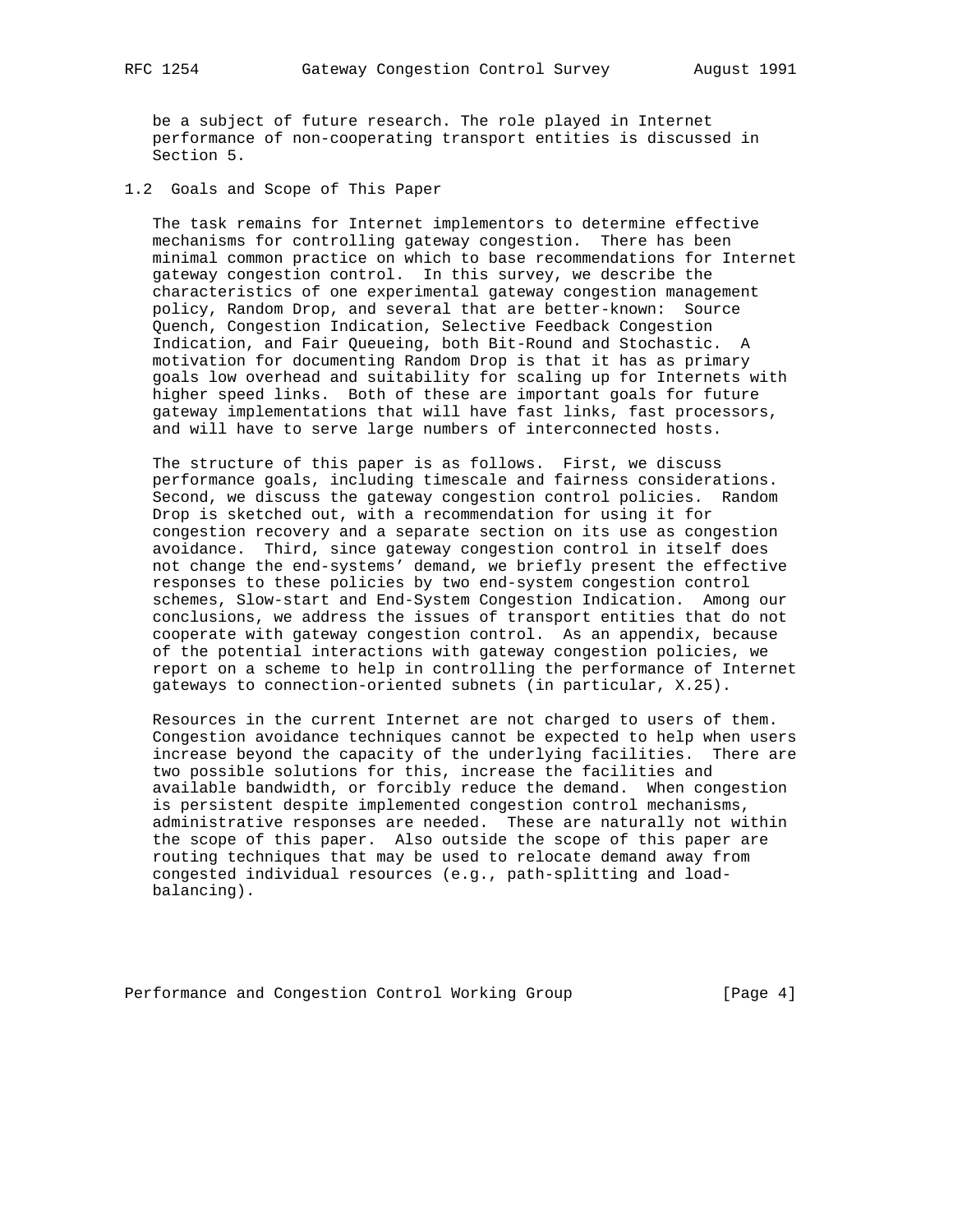be a subject of future research. The role played in Internet performance of non-cooperating transport entities is discussed in Section 5.

1.2 Goals and Scope of This Paper

 The task remains for Internet implementors to determine effective mechanisms for controlling gateway congestion. There has been minimal common practice on which to base recommendations for Internet gateway congestion control. In this survey, we describe the characteristics of one experimental gateway congestion management policy, Random Drop, and several that are better-known: Source Quench, Congestion Indication, Selective Feedback Congestion Indication, and Fair Queueing, both Bit-Round and Stochastic. A motivation for documenting Random Drop is that it has as primary goals low overhead and suitability for scaling up for Internets with higher speed links. Both of these are important goals for future gateway implementations that will have fast links, fast processors, and will have to serve large numbers of interconnected hosts.

 The structure of this paper is as follows. First, we discuss performance goals, including timescale and fairness considerations. Second, we discuss the gateway congestion control policies. Random Drop is sketched out, with a recommendation for using it for congestion recovery and a separate section on its use as congestion avoidance. Third, since gateway congestion control in itself does not change the end-systems' demand, we briefly present the effective responses to these policies by two end-system congestion control schemes, Slow-start and End-System Congestion Indication. Among our conclusions, we address the issues of transport entities that do not cooperate with gateway congestion control. As an appendix, because of the potential interactions with gateway congestion policies, we report on a scheme to help in controlling the performance of Internet gateways to connection-oriented subnets (in particular, X.25).

 Resources in the current Internet are not charged to users of them. Congestion avoidance techniques cannot be expected to help when users increase beyond the capacity of the underlying facilities. There are two possible solutions for this, increase the facilities and available bandwidth, or forcibly reduce the demand. When congestion is persistent despite implemented congestion control mechanisms, administrative responses are needed. These are naturally not within the scope of this paper. Also outside the scope of this paper are routing techniques that may be used to relocate demand away from congested individual resources (e.g., path-splitting and load balancing).

Performance and Congestion Control Working Group [Page 4]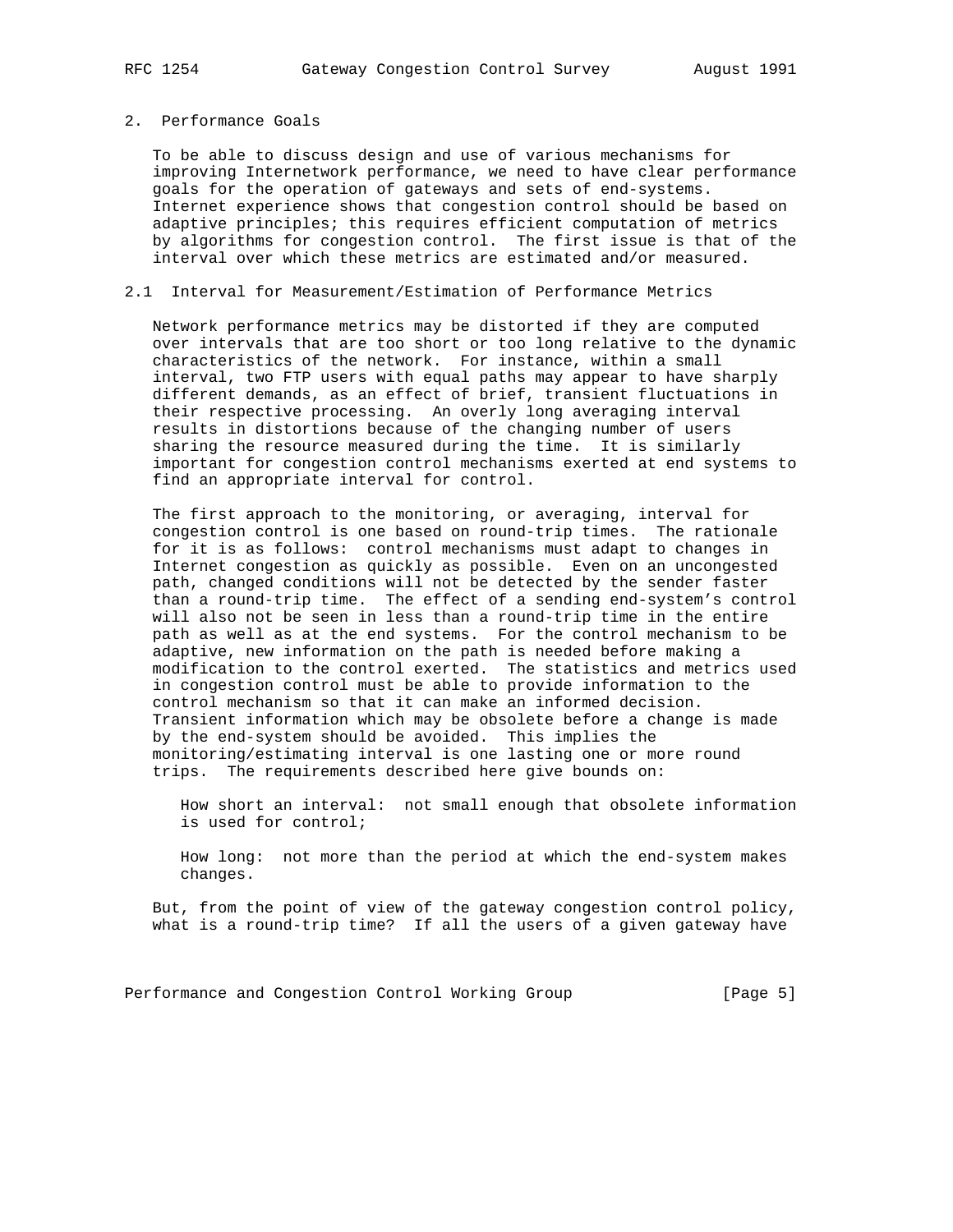# 2. Performance Goals

 To be able to discuss design and use of various mechanisms for improving Internetwork performance, we need to have clear performance goals for the operation of gateways and sets of end-systems. Internet experience shows that congestion control should be based on adaptive principles; this requires efficient computation of metrics by algorithms for congestion control. The first issue is that of the interval over which these metrics are estimated and/or measured.

## 2.1 Interval for Measurement/Estimation of Performance Metrics

 Network performance metrics may be distorted if they are computed over intervals that are too short or too long relative to the dynamic characteristics of the network. For instance, within a small interval, two FTP users with equal paths may appear to have sharply different demands, as an effect of brief, transient fluctuations in their respective processing. An overly long averaging interval results in distortions because of the changing number of users sharing the resource measured during the time. It is similarly important for congestion control mechanisms exerted at end systems to find an appropriate interval for control.

 The first approach to the monitoring, or averaging, interval for congestion control is one based on round-trip times. The rationale for it is as follows: control mechanisms must adapt to changes in Internet congestion as quickly as possible. Even on an uncongested path, changed conditions will not be detected by the sender faster than a round-trip time. The effect of a sending end-system's control will also not be seen in less than a round-trip time in the entire path as well as at the end systems. For the control mechanism to be adaptive, new information on the path is needed before making a modification to the control exerted. The statistics and metrics used in congestion control must be able to provide information to the control mechanism so that it can make an informed decision. Transient information which may be obsolete before a change is made by the end-system should be avoided. This implies the monitoring/estimating interval is one lasting one or more round trips. The requirements described here give bounds on:

 How short an interval: not small enough that obsolete information is used for control;

 How long: not more than the period at which the end-system makes changes.

 But, from the point of view of the gateway congestion control policy, what is a round-trip time? If all the users of a given gateway have

Performance and Congestion Control Working Group [Page 5]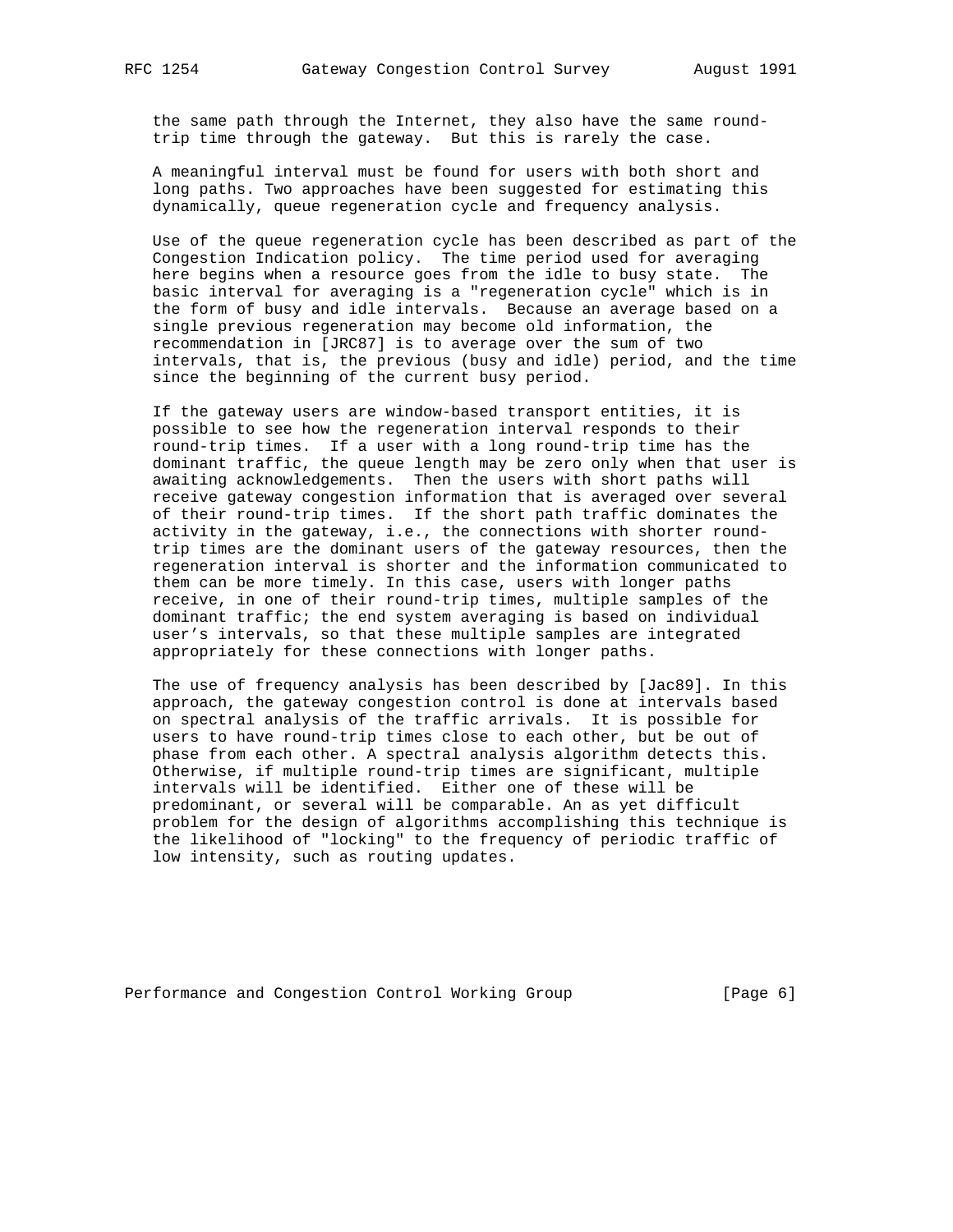the same path through the Internet, they also have the same round trip time through the gateway. But this is rarely the case.

 A meaningful interval must be found for users with both short and long paths. Two approaches have been suggested for estimating this dynamically, queue regeneration cycle and frequency analysis.

 Use of the queue regeneration cycle has been described as part of the Congestion Indication policy. The time period used for averaging here begins when a resource goes from the idle to busy state. The basic interval for averaging is a "regeneration cycle" which is in the form of busy and idle intervals. Because an average based on a single previous regeneration may become old information, the recommendation in [JRC87] is to average over the sum of two intervals, that is, the previous (busy and idle) period, and the time since the beginning of the current busy period.

 If the gateway users are window-based transport entities, it is possible to see how the regeneration interval responds to their round-trip times. If a user with a long round-trip time has the dominant traffic, the queue length may be zero only when that user is awaiting acknowledgements. Then the users with short paths will receive gateway congestion information that is averaged over several of their round-trip times. If the short path traffic dominates the activity in the gateway, i.e., the connections with shorter round trip times are the dominant users of the gateway resources, then the regeneration interval is shorter and the information communicated to them can be more timely. In this case, users with longer paths receive, in one of their round-trip times, multiple samples of the dominant traffic; the end system averaging is based on individual user's intervals, so that these multiple samples are integrated appropriately for these connections with longer paths.

 The use of frequency analysis has been described by [Jac89]. In this approach, the gateway congestion control is done at intervals based on spectral analysis of the traffic arrivals. It is possible for users to have round-trip times close to each other, but be out of phase from each other. A spectral analysis algorithm detects this. Otherwise, if multiple round-trip times are significant, multiple intervals will be identified. Either one of these will be predominant, or several will be comparable. An as yet difficult problem for the design of algorithms accomplishing this technique is the likelihood of "locking" to the frequency of periodic traffic of low intensity, such as routing updates.

Performance and Congestion Control Working Group [Page 6]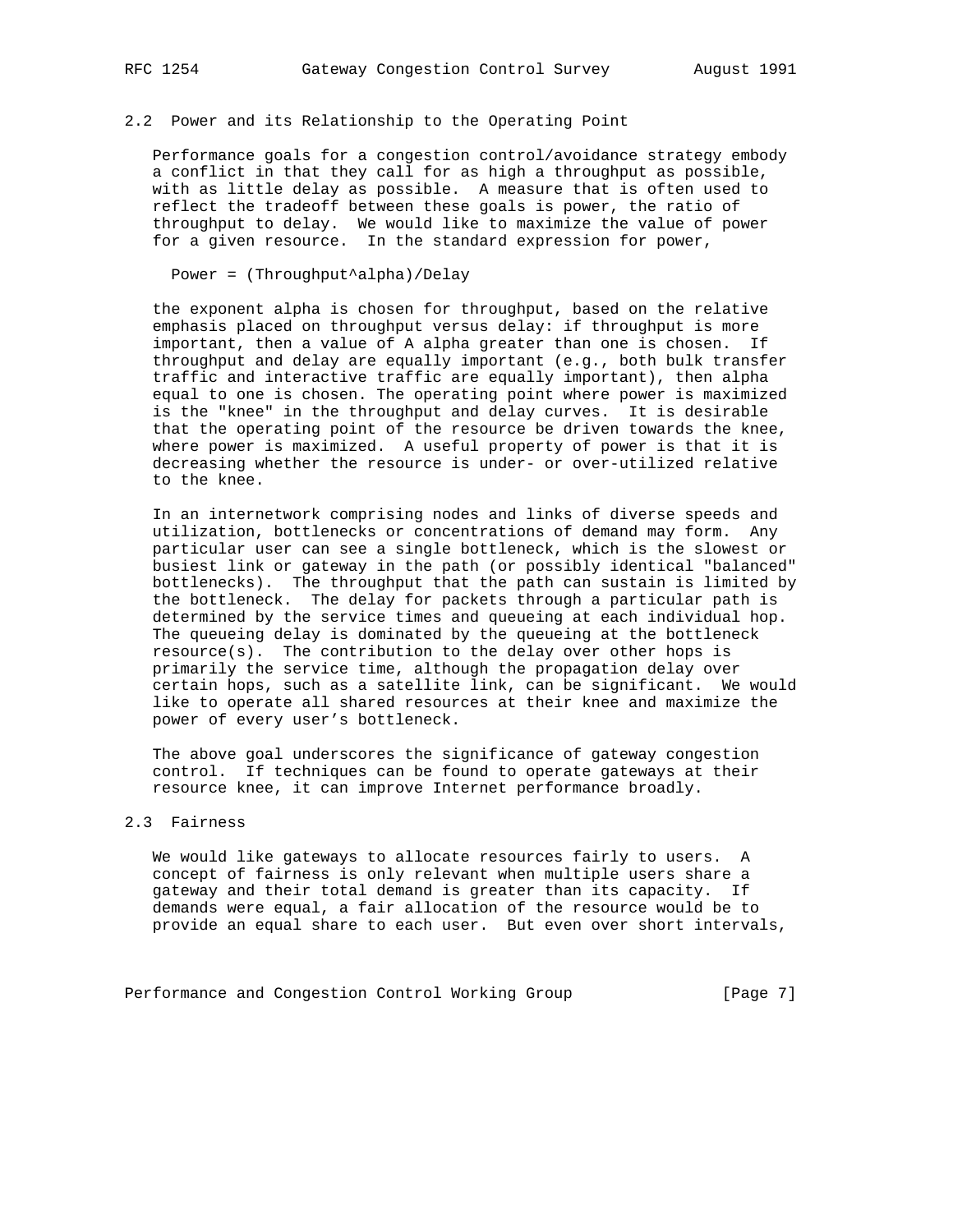# 2.2 Power and its Relationship to the Operating Point

 Performance goals for a congestion control/avoidance strategy embody a conflict in that they call for as high a throughput as possible, with as little delay as possible. A measure that is often used to reflect the tradeoff between these goals is power, the ratio of throughput to delay. We would like to maximize the value of power for a given resource. In the standard expression for power,

Power = (Throughput^alpha)/Delay

 the exponent alpha is chosen for throughput, based on the relative emphasis placed on throughput versus delay: if throughput is more important, then a value of A alpha greater than one is chosen. If throughput and delay are equally important (e.g., both bulk transfer traffic and interactive traffic are equally important), then alpha equal to one is chosen. The operating point where power is maximized is the "knee" in the throughput and delay curves. It is desirable that the operating point of the resource be driven towards the knee, where power is maximized. A useful property of power is that it is decreasing whether the resource is under- or over-utilized relative to the knee.

 In an internetwork comprising nodes and links of diverse speeds and utilization, bottlenecks or concentrations of demand may form. Any particular user can see a single bottleneck, which is the slowest or busiest link or gateway in the path (or possibly identical "balanced" bottlenecks). The throughput that the path can sustain is limited by the bottleneck. The delay for packets through a particular path is determined by the service times and queueing at each individual hop. The queueing delay is dominated by the queueing at the bottleneck resource(s). The contribution to the delay over other hops is primarily the service time, although the propagation delay over certain hops, such as a satellite link, can be significant. We would like to operate all shared resources at their knee and maximize the power of every user's bottleneck.

 The above goal underscores the significance of gateway congestion control. If techniques can be found to operate gateways at their resource knee, it can improve Internet performance broadly.

### 2.3 Fairness

 We would like gateways to allocate resources fairly to users. A concept of fairness is only relevant when multiple users share a gateway and their total demand is greater than its capacity. If demands were equal, a fair allocation of the resource would be to provide an equal share to each user. But even over short intervals,

Performance and Congestion Control Working Group [Page 7]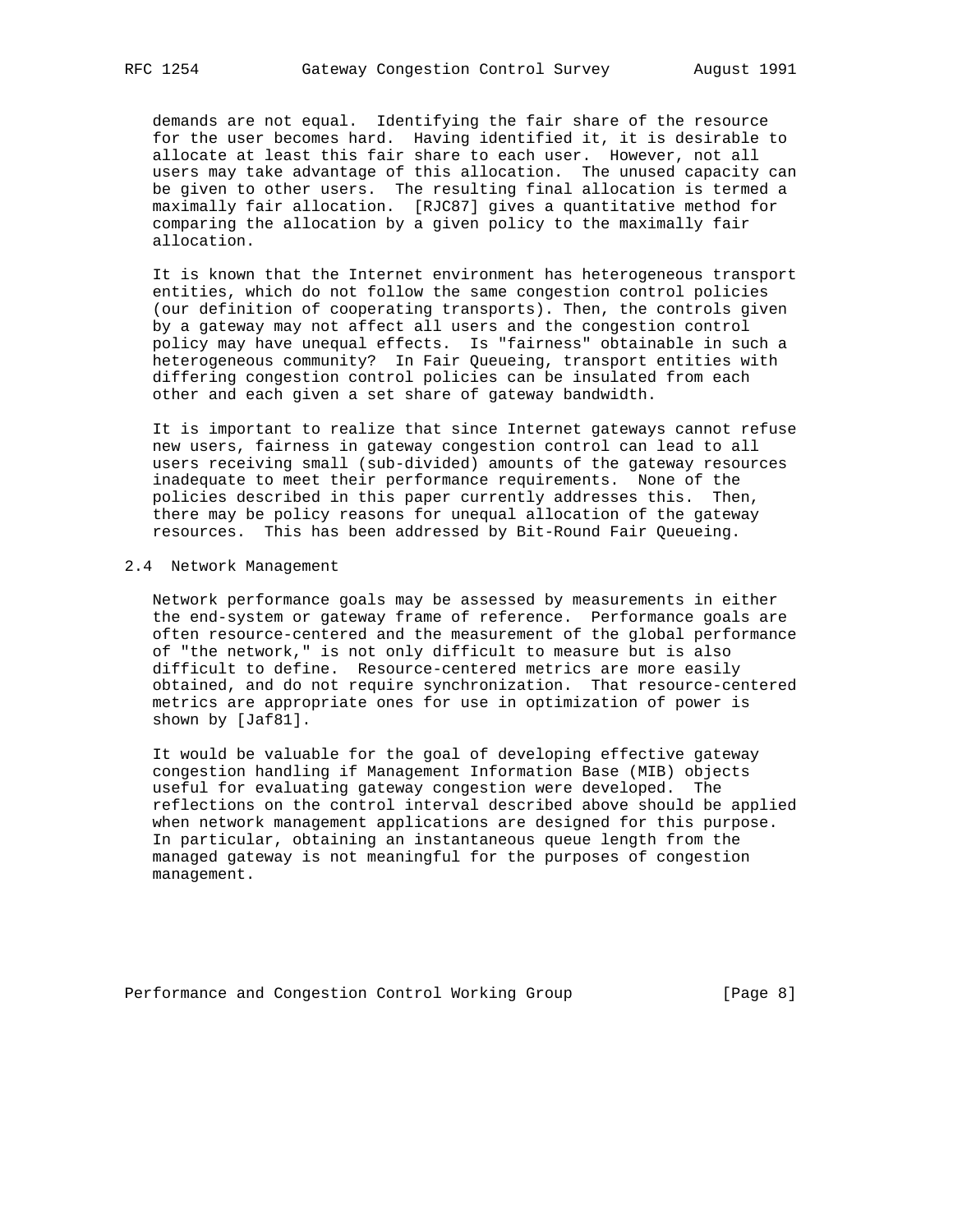demands are not equal. Identifying the fair share of the resource for the user becomes hard. Having identified it, it is desirable to allocate at least this fair share to each user. However, not all users may take advantage of this allocation. The unused capacity can be given to other users. The resulting final allocation is termed a maximally fair allocation. [RJC87] gives a quantitative method for comparing the allocation by a given policy to the maximally fair allocation.

 It is known that the Internet environment has heterogeneous transport entities, which do not follow the same congestion control policies (our definition of cooperating transports). Then, the controls given by a gateway may not affect all users and the congestion control policy may have unequal effects. Is "fairness" obtainable in such a heterogeneous community? In Fair Queueing, transport entities with differing congestion control policies can be insulated from each other and each given a set share of gateway bandwidth.

 It is important to realize that since Internet gateways cannot refuse new users, fairness in gateway congestion control can lead to all users receiving small (sub-divided) amounts of the gateway resources inadequate to meet their performance requirements. None of the policies described in this paper currently addresses this. Then, there may be policy reasons for unequal allocation of the gateway resources. This has been addressed by Bit-Round Fair Queueing.

#### 2.4 Network Management

 Network performance goals may be assessed by measurements in either the end-system or gateway frame of reference. Performance goals are often resource-centered and the measurement of the global performance of "the network," is not only difficult to measure but is also difficult to define. Resource-centered metrics are more easily obtained, and do not require synchronization. That resource-centered metrics are appropriate ones for use in optimization of power is shown by [Jaf81].

 It would be valuable for the goal of developing effective gateway congestion handling if Management Information Base (MIB) objects useful for evaluating gateway congestion were developed. The reflections on the control interval described above should be applied when network management applications are designed for this purpose. In particular, obtaining an instantaneous queue length from the managed gateway is not meaningful for the purposes of congestion management.

Performance and Congestion Control Working Group [Page 8]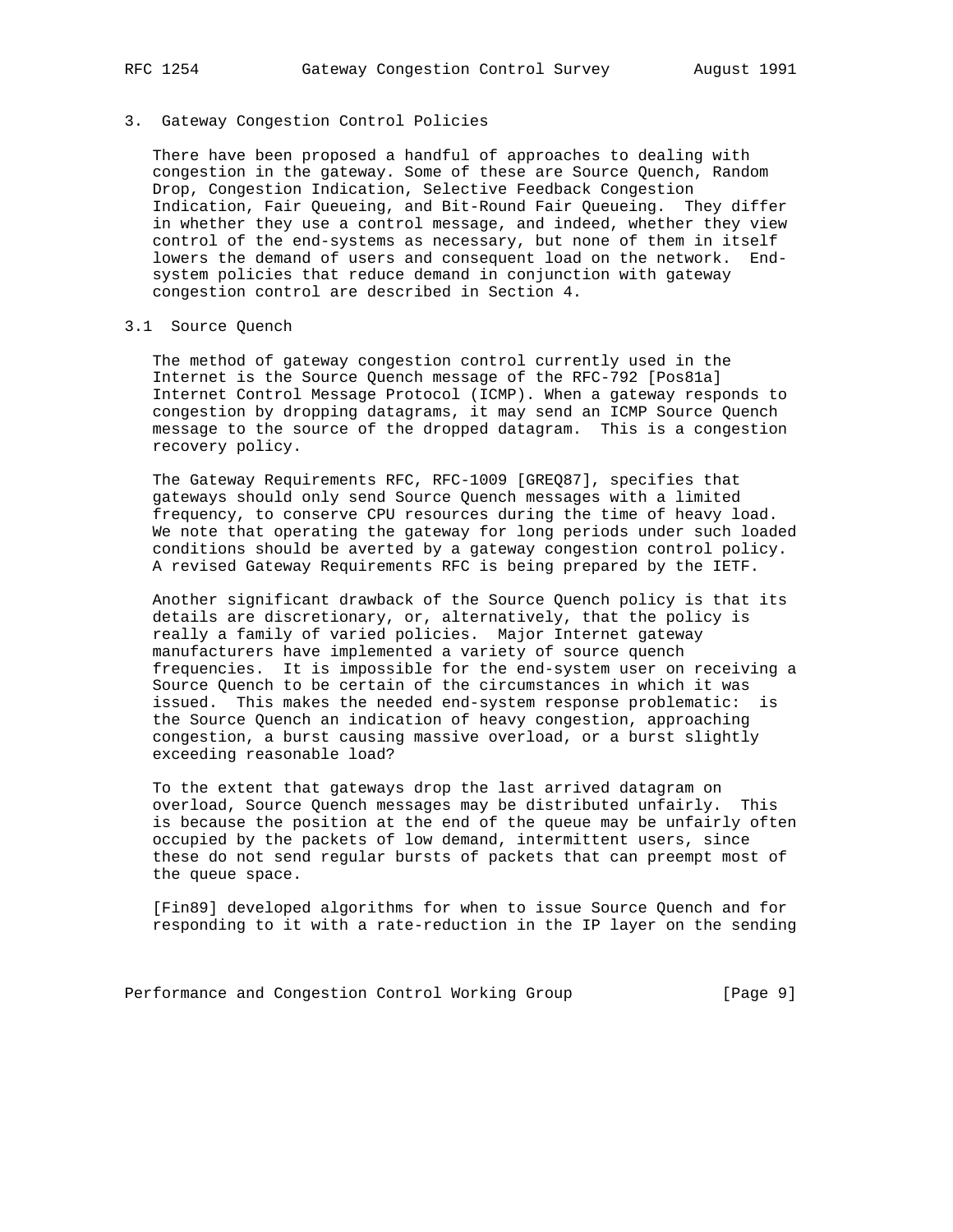# 3. Gateway Congestion Control Policies

 There have been proposed a handful of approaches to dealing with congestion in the gateway. Some of these are Source Quench, Random Drop, Congestion Indication, Selective Feedback Congestion Indication, Fair Queueing, and Bit-Round Fair Queueing. They differ in whether they use a control message, and indeed, whether they view control of the end-systems as necessary, but none of them in itself lowers the demand of users and consequent load on the network. End system policies that reduce demand in conjunction with gateway congestion control are described in Section 4.

#### 3.1 Source Quench

 The method of gateway congestion control currently used in the Internet is the Source Quench message of the RFC-792 [Pos81a] Internet Control Message Protocol (ICMP). When a gateway responds to congestion by dropping datagrams, it may send an ICMP Source Quench message to the source of the dropped datagram. This is a congestion recovery policy.

 The Gateway Requirements RFC, RFC-1009 [GREQ87], specifies that gateways should only send Source Quench messages with a limited frequency, to conserve CPU resources during the time of heavy load. We note that operating the gateway for long periods under such loaded conditions should be averted by a gateway congestion control policy. A revised Gateway Requirements RFC is being prepared by the IETF.

 Another significant drawback of the Source Quench policy is that its details are discretionary, or, alternatively, that the policy is really a family of varied policies. Major Internet gateway manufacturers have implemented a variety of source quench frequencies. It is impossible for the end-system user on receiving a Source Quench to be certain of the circumstances in which it was issued. This makes the needed end-system response problematic: is the Source Quench an indication of heavy congestion, approaching congestion, a burst causing massive overload, or a burst slightly exceeding reasonable load?

 To the extent that gateways drop the last arrived datagram on overload, Source Quench messages may be distributed unfairly. This is because the position at the end of the queue may be unfairly often occupied by the packets of low demand, intermittent users, since these do not send regular bursts of packets that can preempt most of the queue space.

 [Fin89] developed algorithms for when to issue Source Quench and for responding to it with a rate-reduction in the IP layer on the sending

Performance and Congestion Control Working Group [Page 9]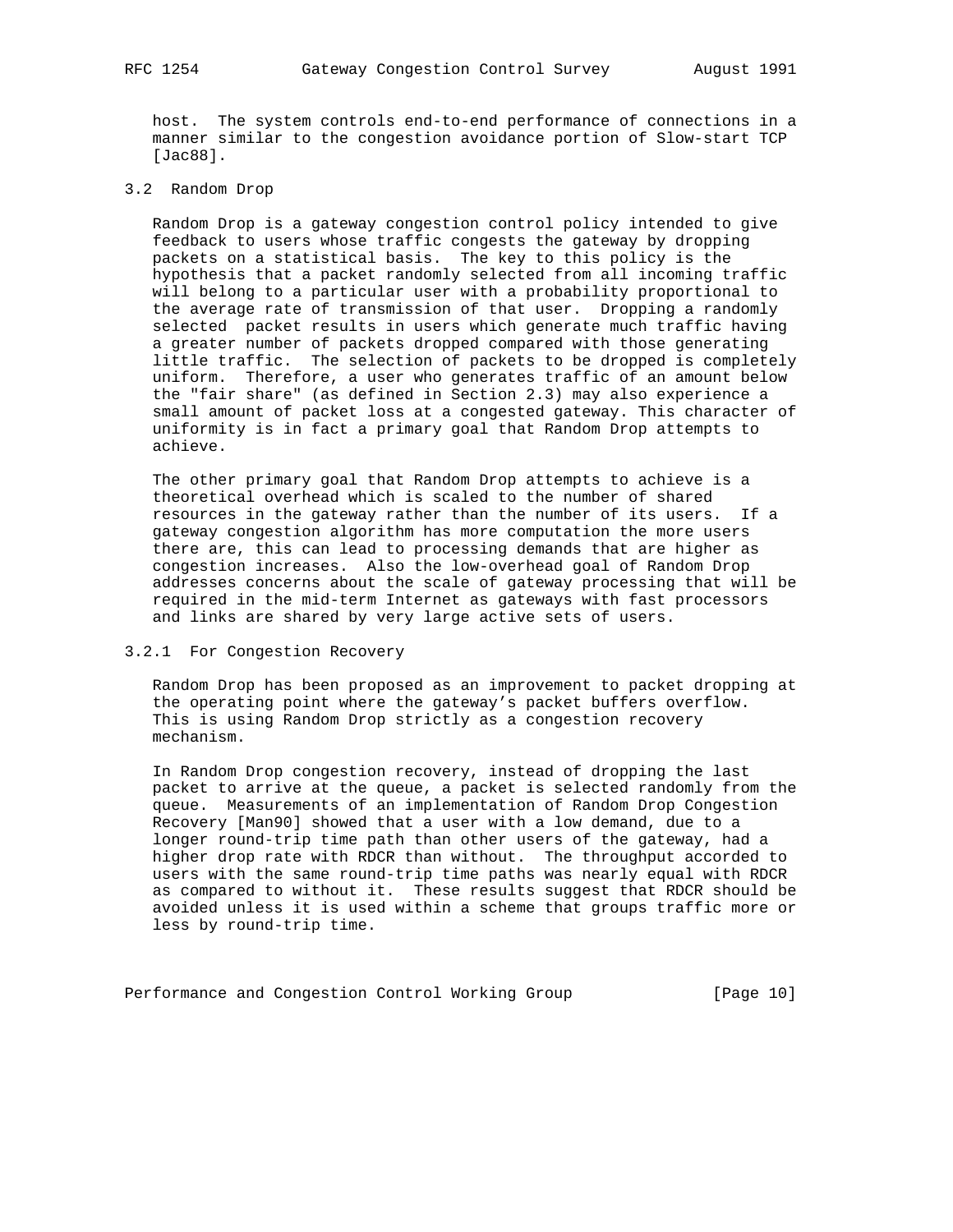host. The system controls end-to-end performance of connections in a manner similar to the congestion avoidance portion of Slow-start TCP [Jac88].

# 3.2 Random Drop

 Random Drop is a gateway congestion control policy intended to give feedback to users whose traffic congests the gateway by dropping packets on a statistical basis. The key to this policy is the hypothesis that a packet randomly selected from all incoming traffic will belong to a particular user with a probability proportional to the average rate of transmission of that user. Dropping a randomly selected packet results in users which generate much traffic having a greater number of packets dropped compared with those generating little traffic. The selection of packets to be dropped is completely uniform. Therefore, a user who generates traffic of an amount below the "fair share" (as defined in Section 2.3) may also experience a small amount of packet loss at a congested gateway. This character of uniformity is in fact a primary goal that Random Drop attempts to achieve.

 The other primary goal that Random Drop attempts to achieve is a theoretical overhead which is scaled to the number of shared resources in the gateway rather than the number of its users. If a gateway congestion algorithm has more computation the more users there are, this can lead to processing demands that are higher as congestion increases. Also the low-overhead goal of Random Drop addresses concerns about the scale of gateway processing that will be required in the mid-term Internet as gateways with fast processors and links are shared by very large active sets of users.

## 3.2.1 For Congestion Recovery

 Random Drop has been proposed as an improvement to packet dropping at the operating point where the gateway's packet buffers overflow. This is using Random Drop strictly as a congestion recovery mechanism.

 In Random Drop congestion recovery, instead of dropping the last packet to arrive at the queue, a packet is selected randomly from the queue. Measurements of an implementation of Random Drop Congestion Recovery [Man90] showed that a user with a low demand, due to a longer round-trip time path than other users of the gateway, had a higher drop rate with RDCR than without. The throughput accorded to users with the same round-trip time paths was nearly equal with RDCR as compared to without it. These results suggest that RDCR should be avoided unless it is used within a scheme that groups traffic more or less by round-trip time.

Performance and Congestion Control Working Group [Page 10]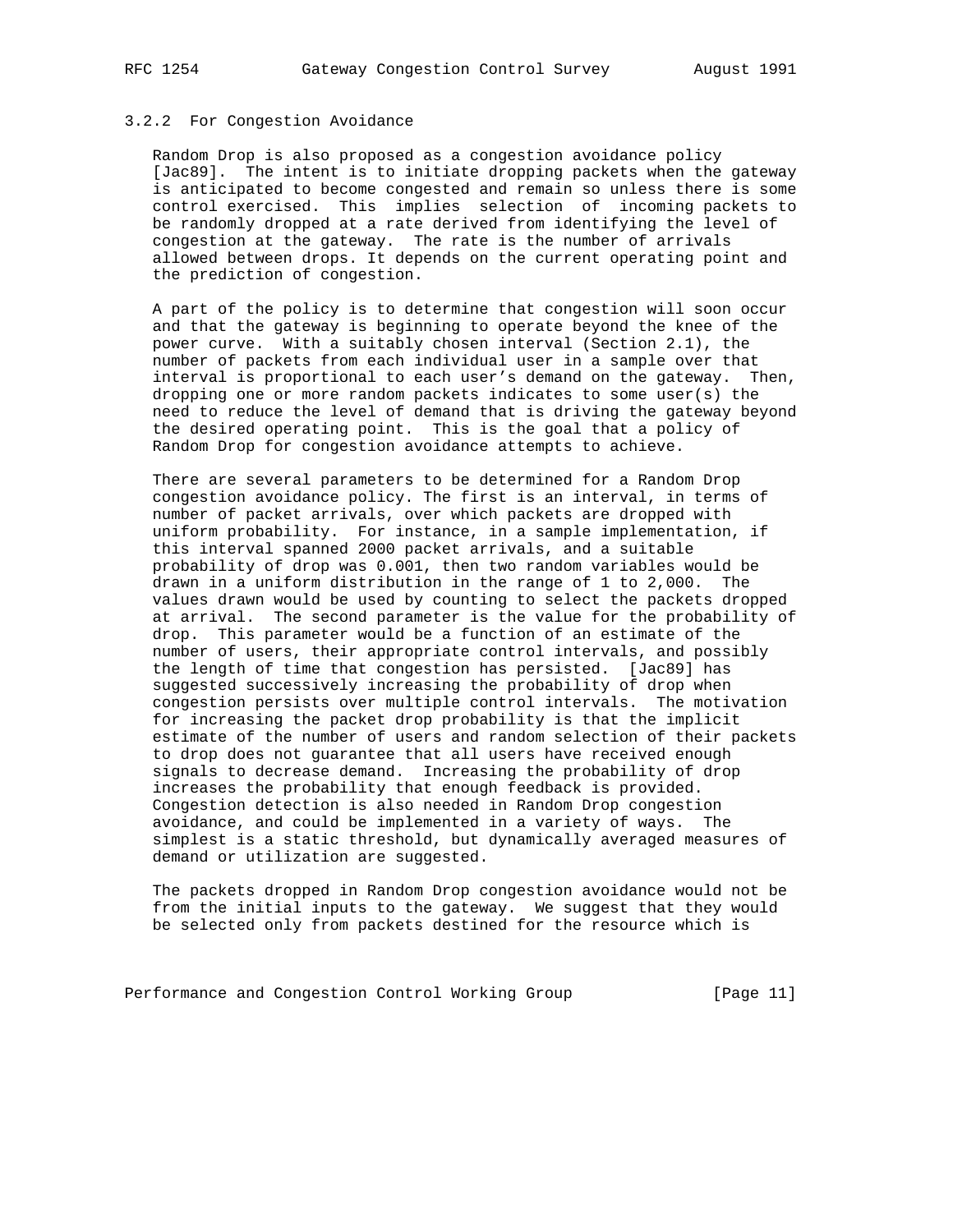### 3.2.2 For Congestion Avoidance

 Random Drop is also proposed as a congestion avoidance policy [Jac89]. The intent is to initiate dropping packets when the gateway is anticipated to become congested and remain so unless there is some control exercised. This implies selection of incoming packets to be randomly dropped at a rate derived from identifying the level of congestion at the gateway. The rate is the number of arrivals allowed between drops. It depends on the current operating point and the prediction of congestion.

 A part of the policy is to determine that congestion will soon occur and that the gateway is beginning to operate beyond the knee of the power curve. With a suitably chosen interval (Section 2.1), the number of packets from each individual user in a sample over that interval is proportional to each user's demand on the gateway. Then, dropping one or more random packets indicates to some user(s) the need to reduce the level of demand that is driving the gateway beyond the desired operating point. This is the goal that a policy of Random Drop for congestion avoidance attempts to achieve.

 There are several parameters to be determined for a Random Drop congestion avoidance policy. The first is an interval, in terms of number of packet arrivals, over which packets are dropped with uniform probability. For instance, in a sample implementation, if this interval spanned 2000 packet arrivals, and a suitable probability of drop was 0.001, then two random variables would be drawn in a uniform distribution in the range of 1 to 2,000. The values drawn would be used by counting to select the packets dropped at arrival. The second parameter is the value for the probability of drop. This parameter would be a function of an estimate of the number of users, their appropriate control intervals, and possibly the length of time that congestion has persisted. [Jac89] has suggested successively increasing the probability of drop when congestion persists over multiple control intervals. The motivation for increasing the packet drop probability is that the implicit estimate of the number of users and random selection of their packets to drop does not guarantee that all users have received enough signals to decrease demand. Increasing the probability of drop increases the probability that enough feedback is provided. Congestion detection is also needed in Random Drop congestion avoidance, and could be implemented in a variety of ways. The simplest is a static threshold, but dynamically averaged measures of demand or utilization are suggested.

 The packets dropped in Random Drop congestion avoidance would not be from the initial inputs to the gateway. We suggest that they would be selected only from packets destined for the resource which is

Performance and Congestion Control Working Group [Page 11]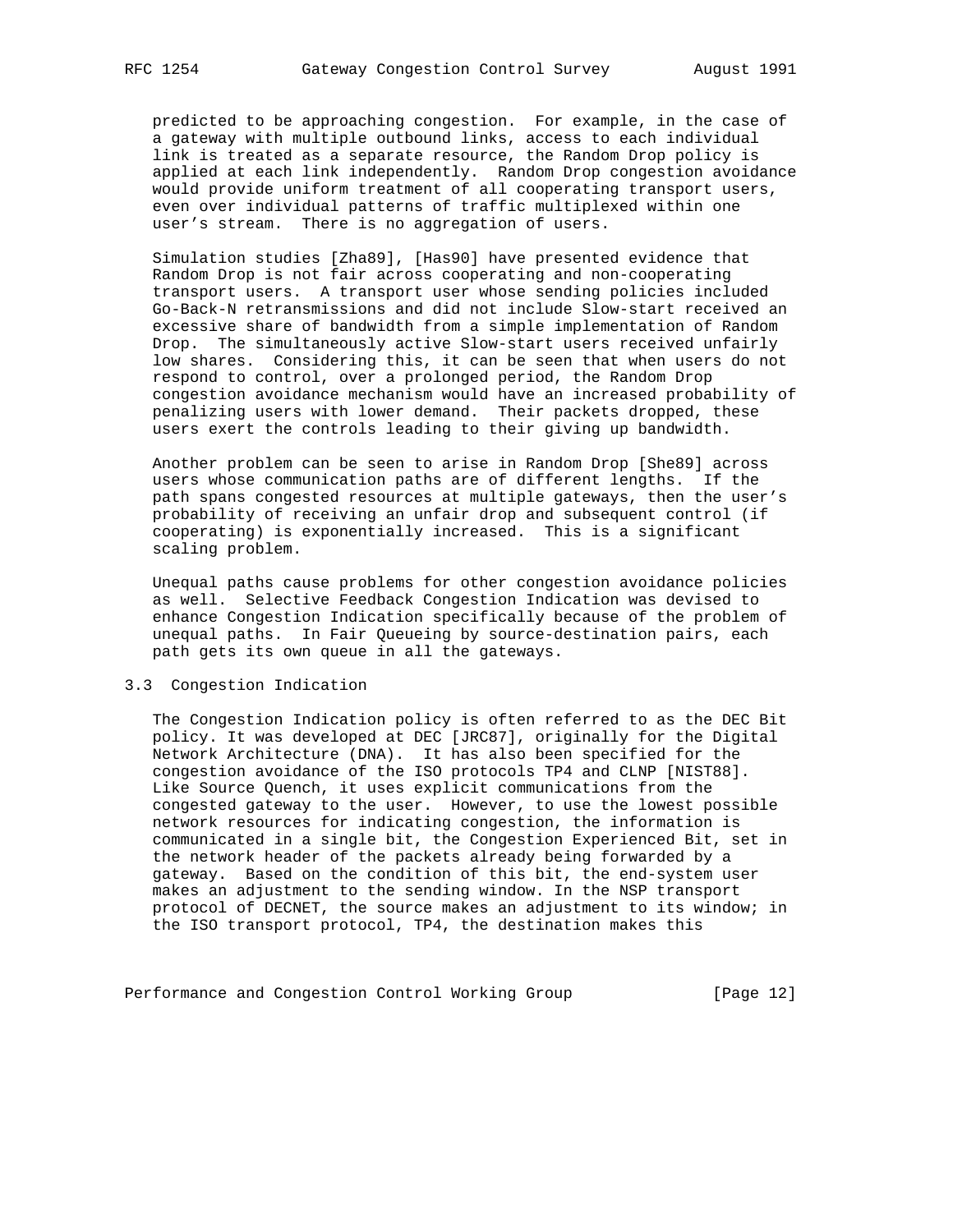predicted to be approaching congestion. For example, in the case of a gateway with multiple outbound links, access to each individual link is treated as a separate resource, the Random Drop policy is applied at each link independently. Random Drop congestion avoidance would provide uniform treatment of all cooperating transport users, even over individual patterns of traffic multiplexed within one user's stream. There is no aggregation of users.

 Simulation studies [Zha89], [Has90] have presented evidence that Random Drop is not fair across cooperating and non-cooperating transport users. A transport user whose sending policies included Go-Back-N retransmissions and did not include Slow-start received an excessive share of bandwidth from a simple implementation of Random Drop. The simultaneously active Slow-start users received unfairly low shares. Considering this, it can be seen that when users do not respond to control, over a prolonged period, the Random Drop congestion avoidance mechanism would have an increased probability of penalizing users with lower demand. Their packets dropped, these users exert the controls leading to their giving up bandwidth.

 Another problem can be seen to arise in Random Drop [She89] across users whose communication paths are of different lengths. If the path spans congested resources at multiple gateways, then the user's probability of receiving an unfair drop and subsequent control (if cooperating) is exponentially increased. This is a significant scaling problem.

 Unequal paths cause problems for other congestion avoidance policies as well. Selective Feedback Congestion Indication was devised to enhance Congestion Indication specifically because of the problem of unequal paths. In Fair Queueing by source-destination pairs, each path gets its own queue in all the gateways.

### 3.3 Congestion Indication

 The Congestion Indication policy is often referred to as the DEC Bit policy. It was developed at DEC [JRC87], originally for the Digital Network Architecture (DNA). It has also been specified for the congestion avoidance of the ISO protocols TP4 and CLNP [NIST88]. Like Source Quench, it uses explicit communications from the congested gateway to the user. However, to use the lowest possible network resources for indicating congestion, the information is communicated in a single bit, the Congestion Experienced Bit, set in the network header of the packets already being forwarded by a gateway. Based on the condition of this bit, the end-system user makes an adjustment to the sending window. In the NSP transport protocol of DECNET, the source makes an adjustment to its window; in the ISO transport protocol, TP4, the destination makes this

Performance and Congestion Control Working Group [Page 12]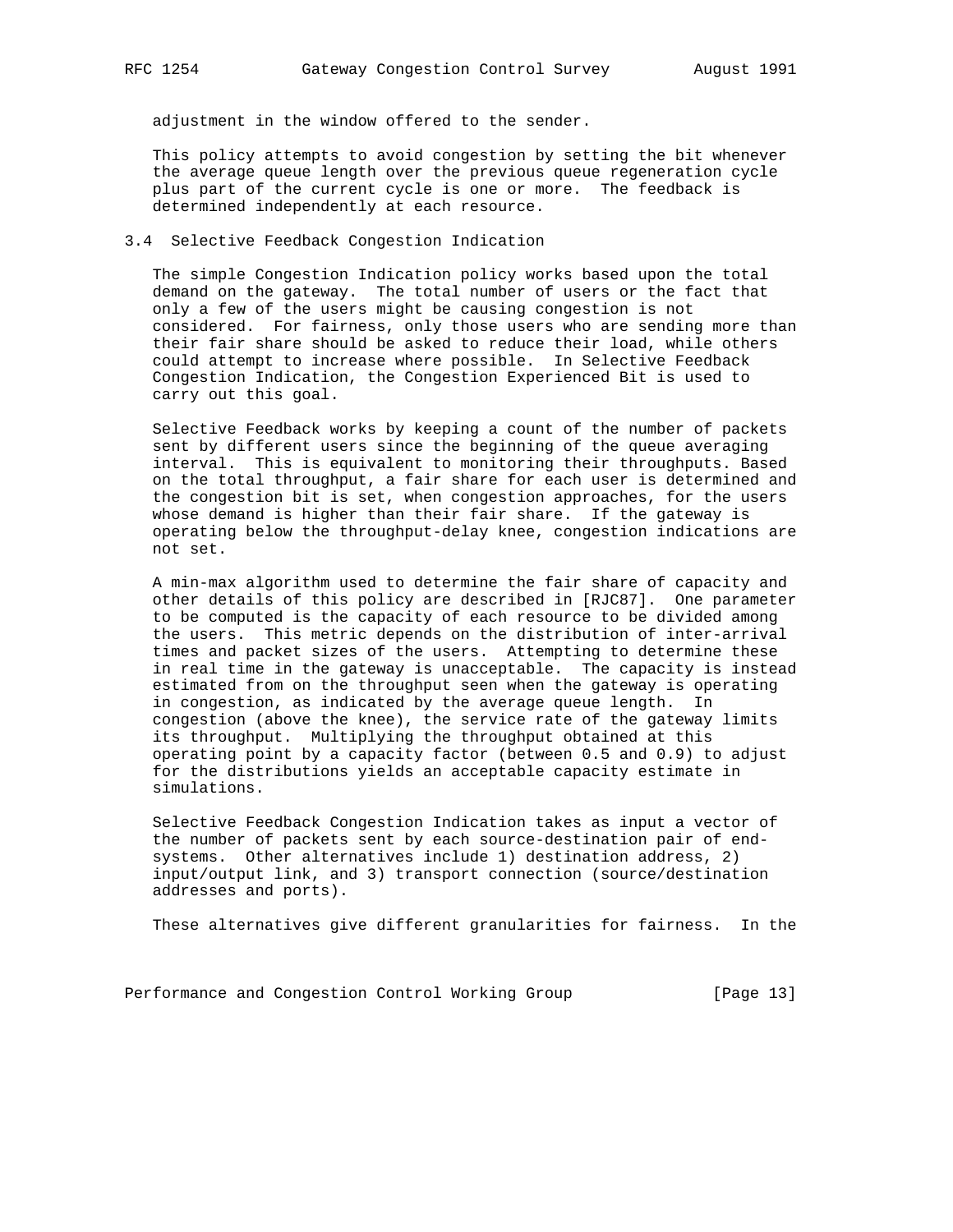adjustment in the window offered to the sender.

 This policy attempts to avoid congestion by setting the bit whenever the average queue length over the previous queue regeneration cycle plus part of the current cycle is one or more. The feedback is determined independently at each resource.

## 3.4 Selective Feedback Congestion Indication

 The simple Congestion Indication policy works based upon the total demand on the gateway. The total number of users or the fact that only a few of the users might be causing congestion is not considered. For fairness, only those users who are sending more than their fair share should be asked to reduce their load, while others could attempt to increase where possible. In Selective Feedback Congestion Indication, the Congestion Experienced Bit is used to carry out this goal.

 Selective Feedback works by keeping a count of the number of packets sent by different users since the beginning of the queue averaging interval. This is equivalent to monitoring their throughputs. Based on the total throughput, a fair share for each user is determined and the congestion bit is set, when congestion approaches, for the users whose demand is higher than their fair share. If the gateway is operating below the throughput-delay knee, congestion indications are not set.

 A min-max algorithm used to determine the fair share of capacity and other details of this policy are described in [RJC87]. One parameter to be computed is the capacity of each resource to be divided among the users. This metric depends on the distribution of inter-arrival times and packet sizes of the users. Attempting to determine these in real time in the gateway is unacceptable. The capacity is instead estimated from on the throughput seen when the gateway is operating in congestion, as indicated by the average queue length. In congestion (above the knee), the service rate of the gateway limits its throughput. Multiplying the throughput obtained at this operating point by a capacity factor (between 0.5 and 0.9) to adjust for the distributions yields an acceptable capacity estimate in simulations.

 Selective Feedback Congestion Indication takes as input a vector of the number of packets sent by each source-destination pair of end systems. Other alternatives include 1) destination address, 2) input/output link, and 3) transport connection (source/destination addresses and ports).

These alternatives give different granularities for fairness. In the

Performance and Congestion Control Working Group [Page 13]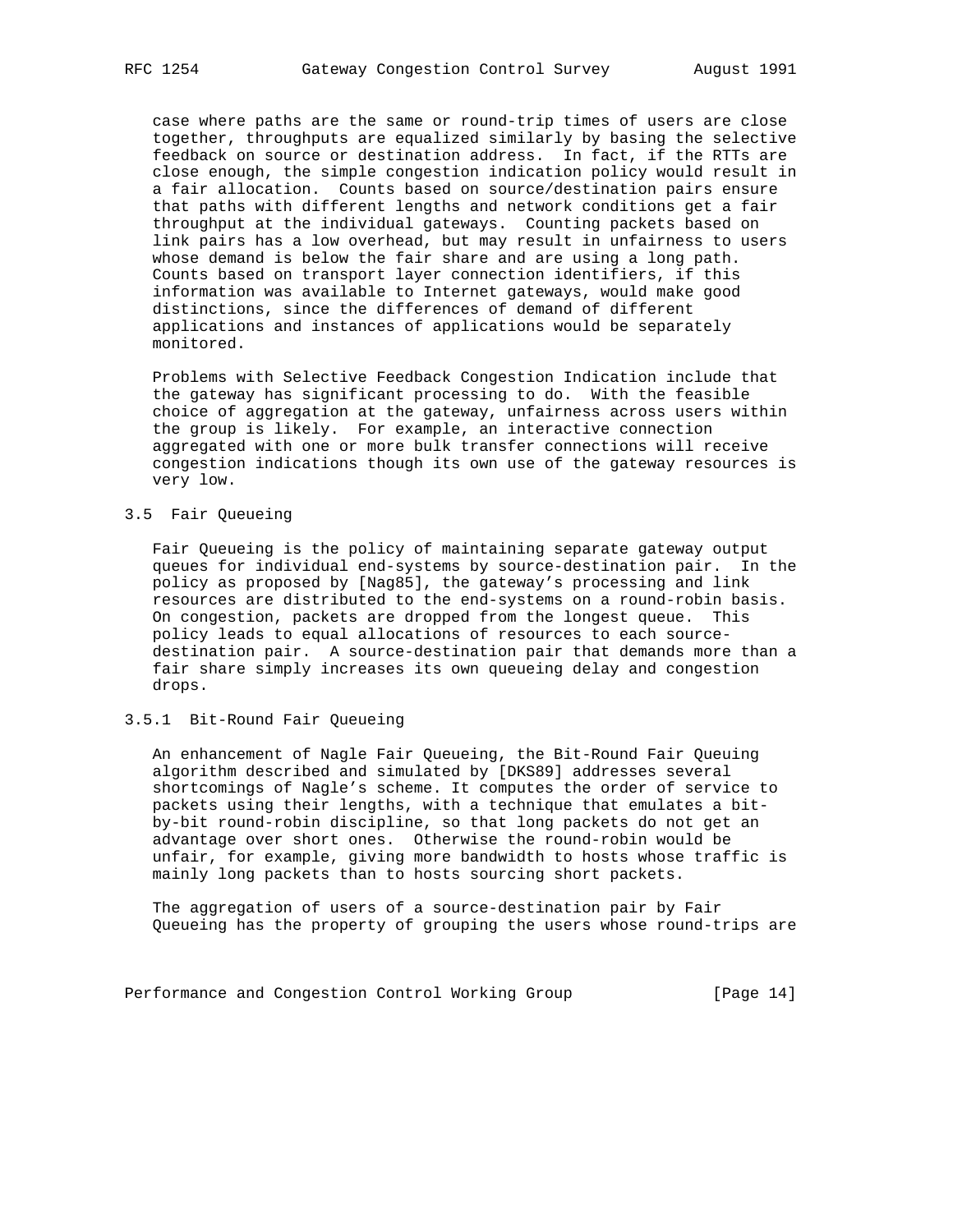case where paths are the same or round-trip times of users are close together, throughputs are equalized similarly by basing the selective feedback on source or destination address. In fact, if the RTTs are close enough, the simple congestion indication policy would result in a fair allocation. Counts based on source/destination pairs ensure that paths with different lengths and network conditions get a fair throughput at the individual gateways. Counting packets based on link pairs has a low overhead, but may result in unfairness to users whose demand is below the fair share and are using a long path. Counts based on transport layer connection identifiers, if this information was available to Internet gateways, would make good distinctions, since the differences of demand of different applications and instances of applications would be separately monitored.

 Problems with Selective Feedback Congestion Indication include that the gateway has significant processing to do. With the feasible choice of aggregation at the gateway, unfairness across users within the group is likely. For example, an interactive connection aggregated with one or more bulk transfer connections will receive congestion indications though its own use of the gateway resources is very low.

## 3.5 Fair Queueing

 Fair Queueing is the policy of maintaining separate gateway output queues for individual end-systems by source-destination pair. In the policy as proposed by [Nag85], the gateway's processing and link resources are distributed to the end-systems on a round-robin basis. On congestion, packets are dropped from the longest queue. This policy leads to equal allocations of resources to each source destination pair. A source-destination pair that demands more than a fair share simply increases its own queueing delay and congestion drops.

## 3.5.1 Bit-Round Fair Queueing

 An enhancement of Nagle Fair Queueing, the Bit-Round Fair Queuing algorithm described and simulated by [DKS89] addresses several shortcomings of Nagle's scheme. It computes the order of service to packets using their lengths, with a technique that emulates a bit by-bit round-robin discipline, so that long packets do not get an advantage over short ones. Otherwise the round-robin would be unfair, for example, giving more bandwidth to hosts whose traffic is mainly long packets than to hosts sourcing short packets.

 The aggregation of users of a source-destination pair by Fair Queueing has the property of grouping the users whose round-trips are

Performance and Congestion Control Working Group [Page 14]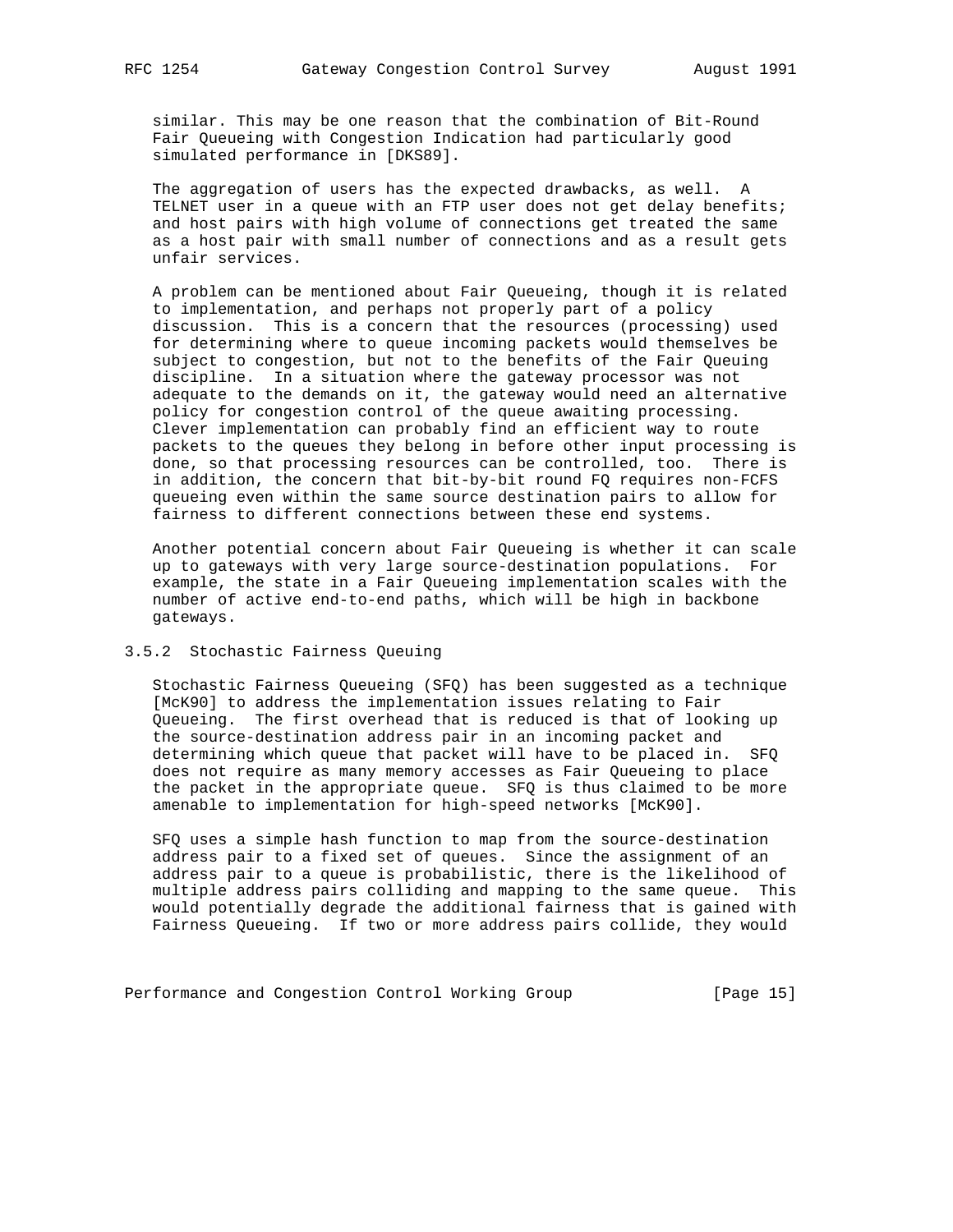similar. This may be one reason that the combination of Bit-Round Fair Queueing with Congestion Indication had particularly good simulated performance in [DKS89].

 The aggregation of users has the expected drawbacks, as well. A TELNET user in a queue with an FTP user does not get delay benefits; and host pairs with high volume of connections get treated the same as a host pair with small number of connections and as a result gets unfair services.

 A problem can be mentioned about Fair Queueing, though it is related to implementation, and perhaps not properly part of a policy discussion. This is a concern that the resources (processing) used for determining where to queue incoming packets would themselves be subject to congestion, but not to the benefits of the Fair Queuing discipline. In a situation where the gateway processor was not adequate to the demands on it, the gateway would need an alternative policy for congestion control of the queue awaiting processing. Clever implementation can probably find an efficient way to route packets to the queues they belong in before other input processing is done, so that processing resources can be controlled, too. There is in addition, the concern that bit-by-bit round FQ requires non-FCFS queueing even within the same source destination pairs to allow for fairness to different connections between these end systems.

 Another potential concern about Fair Queueing is whether it can scale up to gateways with very large source-destination populations. For example, the state in a Fair Queueing implementation scales with the number of active end-to-end paths, which will be high in backbone gateways.

## 3.5.2 Stochastic Fairness Queuing

 Stochastic Fairness Queueing (SFQ) has been suggested as a technique [McK90] to address the implementation issues relating to Fair Queueing. The first overhead that is reduced is that of looking up the source-destination address pair in an incoming packet and determining which queue that packet will have to be placed in. SFQ does not require as many memory accesses as Fair Queueing to place the packet in the appropriate queue. SFQ is thus claimed to be more amenable to implementation for high-speed networks [McK90].

 SFQ uses a simple hash function to map from the source-destination address pair to a fixed set of queues. Since the assignment of an address pair to a queue is probabilistic, there is the likelihood of multiple address pairs colliding and mapping to the same queue. This would potentially degrade the additional fairness that is gained with Fairness Queueing. If two or more address pairs collide, they would

Performance and Congestion Control Working Group [Page 15]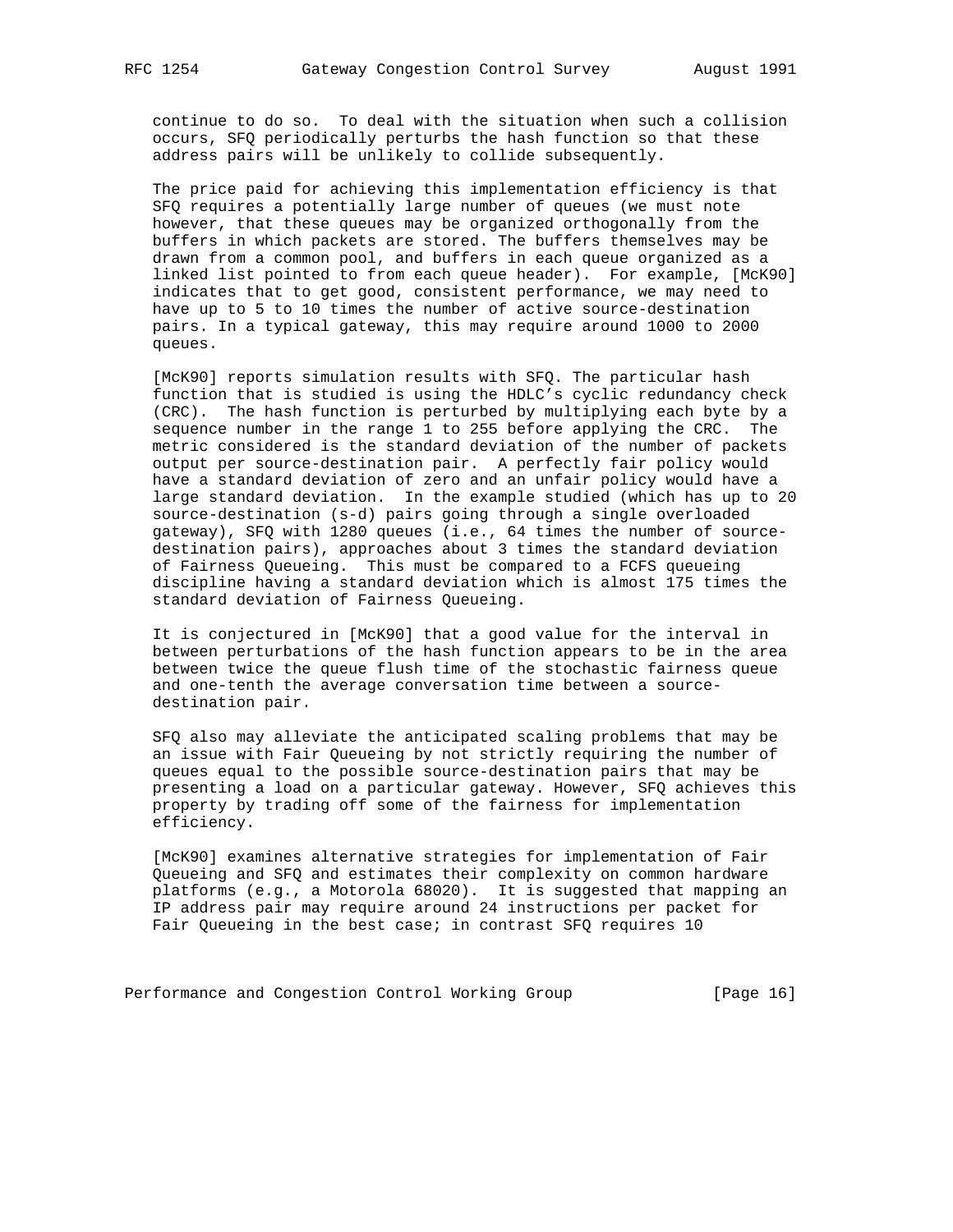continue to do so. To deal with the situation when such a collision occurs, SFQ periodically perturbs the hash function so that these address pairs will be unlikely to collide subsequently.

 The price paid for achieving this implementation efficiency is that SFQ requires a potentially large number of queues (we must note however, that these queues may be organized orthogonally from the buffers in which packets are stored. The buffers themselves may be drawn from a common pool, and buffers in each queue organized as a linked list pointed to from each queue header). For example, [McK90] indicates that to get good, consistent performance, we may need to have up to 5 to 10 times the number of active source-destination pairs. In a typical gateway, this may require around 1000 to 2000 queues.

 [McK90] reports simulation results with SFQ. The particular hash function that is studied is using the HDLC's cyclic redundancy check (CRC). The hash function is perturbed by multiplying each byte by a sequence number in the range 1 to 255 before applying the CRC. The metric considered is the standard deviation of the number of packets output per source-destination pair. A perfectly fair policy would have a standard deviation of zero and an unfair policy would have a large standard deviation. In the example studied (which has up to 20 source-destination (s-d) pairs going through a single overloaded gateway), SFQ with 1280 queues (i.e., 64 times the number of source destination pairs), approaches about 3 times the standard deviation of Fairness Queueing. This must be compared to a FCFS queueing discipline having a standard deviation which is almost 175 times the standard deviation of Fairness Queueing.

 It is conjectured in [McK90] that a good value for the interval in between perturbations of the hash function appears to be in the area between twice the queue flush time of the stochastic fairness queue and one-tenth the average conversation time between a source destination pair.

 SFQ also may alleviate the anticipated scaling problems that may be an issue with Fair Queueing by not strictly requiring the number of queues equal to the possible source-destination pairs that may be presenting a load on a particular gateway. However, SFQ achieves this property by trading off some of the fairness for implementation efficiency.

 [McK90] examines alternative strategies for implementation of Fair Queueing and SFQ and estimates their complexity on common hardware platforms (e.g., a Motorola 68020). It is suggested that mapping an IP address pair may require around 24 instructions per packet for Fair Queueing in the best case; in contrast SFQ requires 10

Performance and Congestion Control Working Group [Page 16]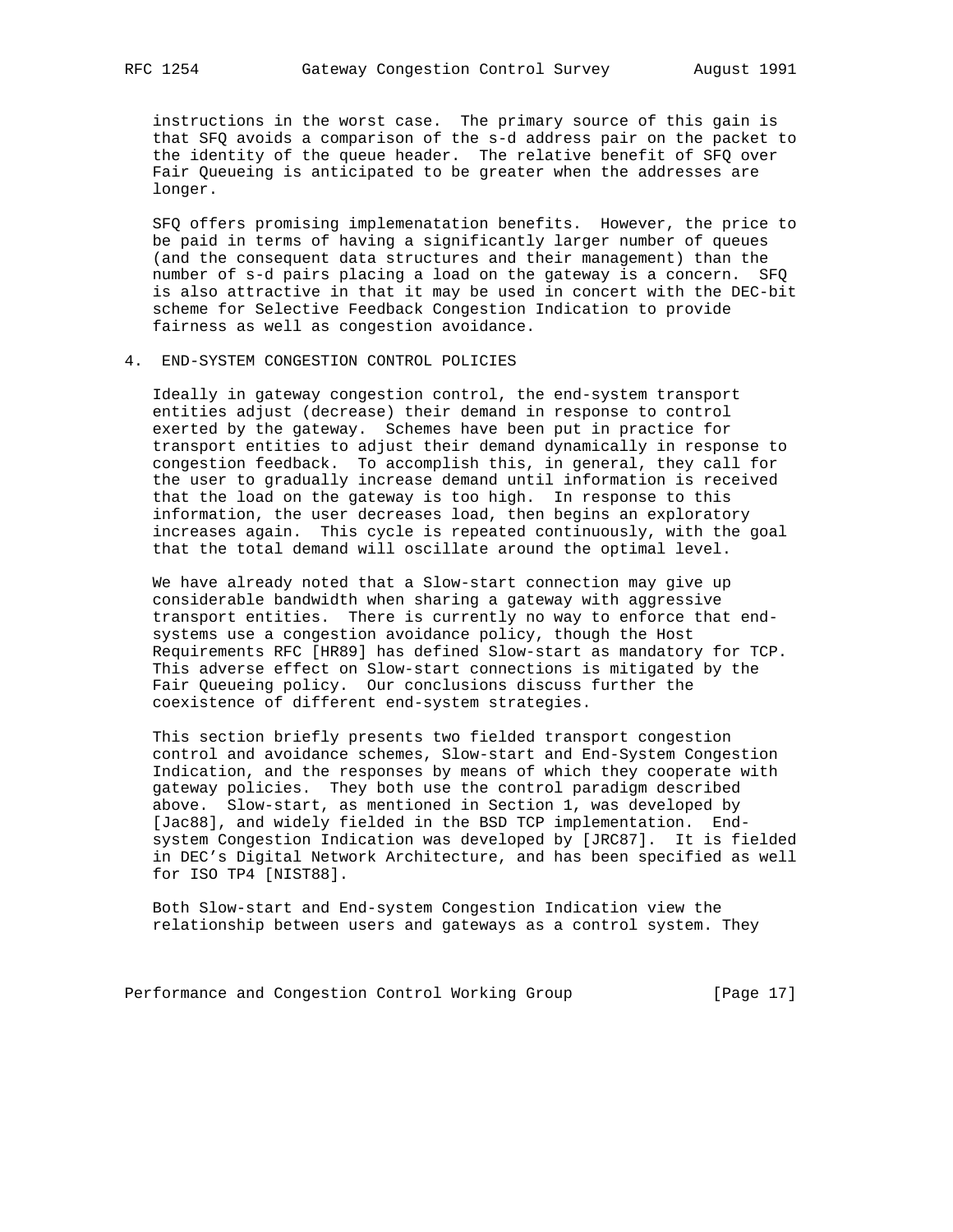instructions in the worst case. The primary source of this gain is that SFQ avoids a comparison of the s-d address pair on the packet to the identity of the queue header. The relative benefit of SFQ over Fair Queueing is anticipated to be greater when the addresses are longer.

 SFQ offers promising implemenatation benefits. However, the price to be paid in terms of having a significantly larger number of queues (and the consequent data structures and their management) than the number of s-d pairs placing a load on the gateway is a concern. SFQ is also attractive in that it may be used in concert with the DEC-bit scheme for Selective Feedback Congestion Indication to provide fairness as well as congestion avoidance.

4. END-SYSTEM CONGESTION CONTROL POLICIES

 Ideally in gateway congestion control, the end-system transport entities adjust (decrease) their demand in response to control exerted by the gateway. Schemes have been put in practice for transport entities to adjust their demand dynamically in response to congestion feedback. To accomplish this, in general, they call for the user to gradually increase demand until information is received that the load on the gateway is too high. In response to this information, the user decreases load, then begins an exploratory increases again. This cycle is repeated continuously, with the goal that the total demand will oscillate around the optimal level.

 We have already noted that a Slow-start connection may give up considerable bandwidth when sharing a gateway with aggressive transport entities. There is currently no way to enforce that end systems use a congestion avoidance policy, though the Host Requirements RFC [HR89] has defined Slow-start as mandatory for TCP. This adverse effect on Slow-start connections is mitigated by the Fair Queueing policy. Our conclusions discuss further the coexistence of different end-system strategies.

 This section briefly presents two fielded transport congestion control and avoidance schemes, Slow-start and End-System Congestion Indication, and the responses by means of which they cooperate with gateway policies. They both use the control paradigm described above. Slow-start, as mentioned in Section 1, was developed by [Jac88], and widely fielded in the BSD TCP implementation. End system Congestion Indication was developed by [JRC87]. It is fielded in DEC's Digital Network Architecture, and has been specified as well for ISO TP4 [NIST88].

 Both Slow-start and End-system Congestion Indication view the relationship between users and gateways as a control system. They

Performance and Congestion Control Working Group [Page 17]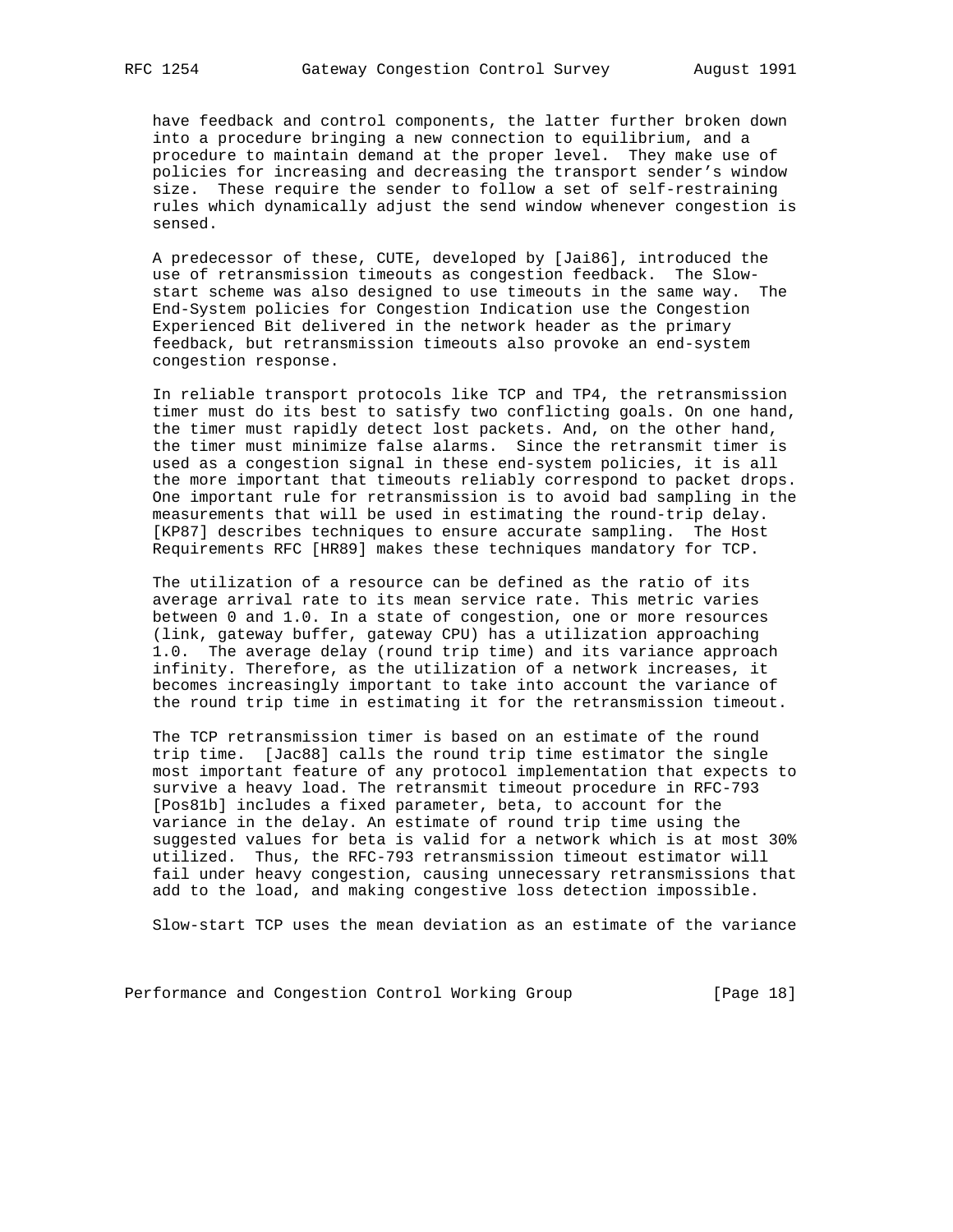have feedback and control components, the latter further broken down into a procedure bringing a new connection to equilibrium, and a procedure to maintain demand at the proper level. They make use of policies for increasing and decreasing the transport sender's window size. These require the sender to follow a set of self-restraining rules which dynamically adjust the send window whenever congestion is sensed.

 A predecessor of these, CUTE, developed by [Jai86], introduced the use of retransmission timeouts as congestion feedback. The Slow start scheme was also designed to use timeouts in the same way. The End-System policies for Congestion Indication use the Congestion Experienced Bit delivered in the network header as the primary feedback, but retransmission timeouts also provoke an end-system congestion response.

 In reliable transport protocols like TCP and TP4, the retransmission timer must do its best to satisfy two conflicting goals. On one hand, the timer must rapidly detect lost packets. And, on the other hand, the timer must minimize false alarms. Since the retransmit timer is used as a congestion signal in these end-system policies, it is all the more important that timeouts reliably correspond to packet drops. One important rule for retransmission is to avoid bad sampling in the measurements that will be used in estimating the round-trip delay. [KP87] describes techniques to ensure accurate sampling. The Host Requirements RFC [HR89] makes these techniques mandatory for TCP.

 The utilization of a resource can be defined as the ratio of its average arrival rate to its mean service rate. This metric varies between 0 and 1.0. In a state of congestion, one or more resources (link, gateway buffer, gateway CPU) has a utilization approaching 1.0. The average delay (round trip time) and its variance approach infinity. Therefore, as the utilization of a network increases, it becomes increasingly important to take into account the variance of the round trip time in estimating it for the retransmission timeout.

 The TCP retransmission timer is based on an estimate of the round trip time. [Jac88] calls the round trip time estimator the single most important feature of any protocol implementation that expects to survive a heavy load. The retransmit timeout procedure in RFC-793 [Pos81b] includes a fixed parameter, beta, to account for the variance in the delay. An estimate of round trip time using the suggested values for beta is valid for a network which is at most 30% utilized. Thus, the RFC-793 retransmission timeout estimator will fail under heavy congestion, causing unnecessary retransmissions that add to the load, and making congestive loss detection impossible.

Slow-start TCP uses the mean deviation as an estimate of the variance

Performance and Congestion Control Working Group [Page 18]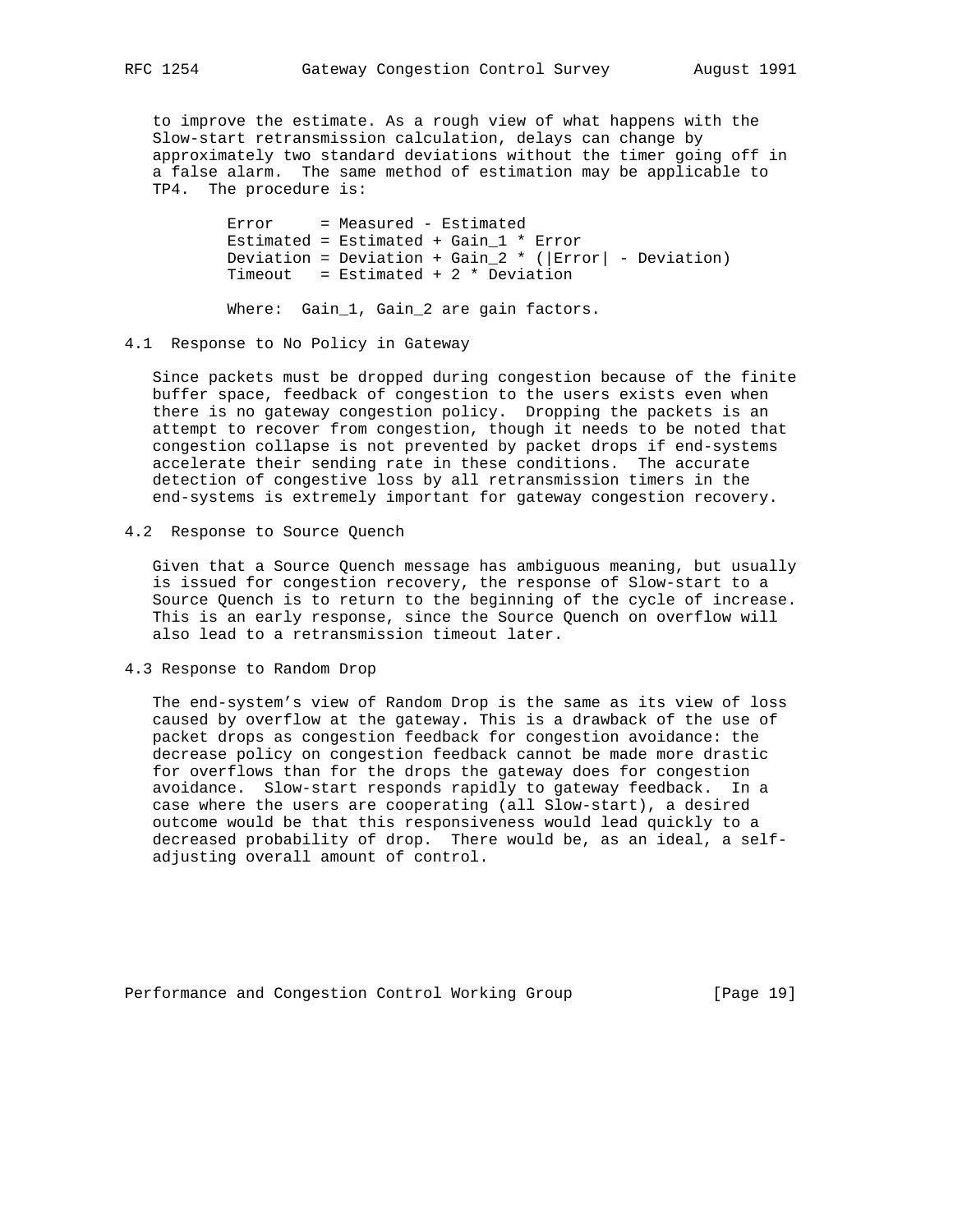to improve the estimate. As a rough view of what happens with the Slow-start retransmission calculation, delays can change by approximately two standard deviations without the timer going off in a false alarm. The same method of estimation may be applicable to TP4. The procedure is:

> Error = Measured - Estimated Estimated = Estimated + Gain\_1 \* Error Deviation = Deviation + Gain\_2 \* ( $|Error|$  - Deviation) Timeout = Estimated + 2  $*$  Deviation

Where: Gain\_1, Gain\_2 are gain factors.

#### 4.1 Response to No Policy in Gateway

 Since packets must be dropped during congestion because of the finite buffer space, feedback of congestion to the users exists even when there is no gateway congestion policy. Dropping the packets is an attempt to recover from congestion, though it needs to be noted that congestion collapse is not prevented by packet drops if end-systems accelerate their sending rate in these conditions. The accurate detection of congestive loss by all retransmission timers in the end-systems is extremely important for gateway congestion recovery.

4.2 Response to Source Quench

 Given that a Source Quench message has ambiguous meaning, but usually is issued for congestion recovery, the response of Slow-start to a Source Quench is to return to the beginning of the cycle of increase. This is an early response, since the Source Quench on overflow will also lead to a retransmission timeout later.

4.3 Response to Random Drop

 The end-system's view of Random Drop is the same as its view of loss caused by overflow at the gateway. This is a drawback of the use of packet drops as congestion feedback for congestion avoidance: the decrease policy on congestion feedback cannot be made more drastic for overflows than for the drops the gateway does for congestion avoidance. Slow-start responds rapidly to gateway feedback. In a case where the users are cooperating (all Slow-start), a desired outcome would be that this responsiveness would lead quickly to a decreased probability of drop. There would be, as an ideal, a self adjusting overall amount of control.

Performance and Congestion Control Working Group [Page 19]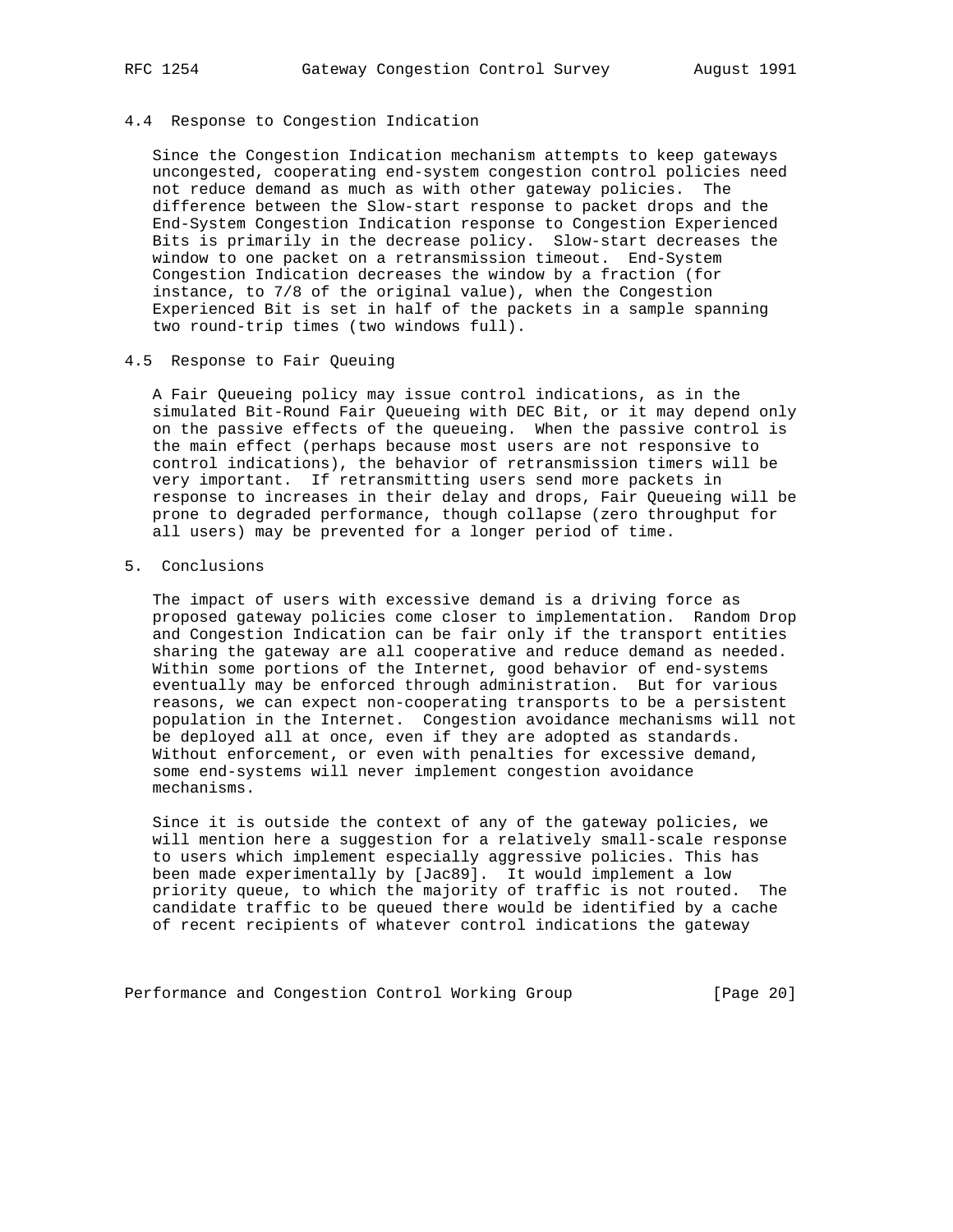#### 4.4 Response to Congestion Indication

 Since the Congestion Indication mechanism attempts to keep gateways uncongested, cooperating end-system congestion control policies need not reduce demand as much as with other gateway policies. The difference between the Slow-start response to packet drops and the End-System Congestion Indication response to Congestion Experienced Bits is primarily in the decrease policy. Slow-start decreases the window to one packet on a retransmission timeout. End-System Congestion Indication decreases the window by a fraction (for instance, to 7/8 of the original value), when the Congestion Experienced Bit is set in half of the packets in a sample spanning two round-trip times (two windows full).

## 4.5 Response to Fair Queuing

 A Fair Queueing policy may issue control indications, as in the simulated Bit-Round Fair Queueing with DEC Bit, or it may depend only on the passive effects of the queueing. When the passive control is the main effect (perhaps because most users are not responsive to control indications), the behavior of retransmission timers will be very important. If retransmitting users send more packets in response to increases in their delay and drops, Fair Queueing will be prone to degraded performance, though collapse (zero throughput for all users) may be prevented for a longer period of time.

## 5. Conclusions

 The impact of users with excessive demand is a driving force as proposed gateway policies come closer to implementation. Random Drop and Congestion Indication can be fair only if the transport entities sharing the gateway are all cooperative and reduce demand as needed. Within some portions of the Internet, good behavior of end-systems eventually may be enforced through administration. But for various reasons, we can expect non-cooperating transports to be a persistent population in the Internet. Congestion avoidance mechanisms will not be deployed all at once, even if they are adopted as standards. Without enforcement, or even with penalties for excessive demand, some end-systems will never implement congestion avoidance mechanisms.

 Since it is outside the context of any of the gateway policies, we will mention here a suggestion for a relatively small-scale response to users which implement especially aggressive policies. This has been made experimentally by [Jac89]. It would implement a low priority queue, to which the majority of traffic is not routed. The candidate traffic to be queued there would be identified by a cache of recent recipients of whatever control indications the gateway

Performance and Congestion Control Working Group [Page 20]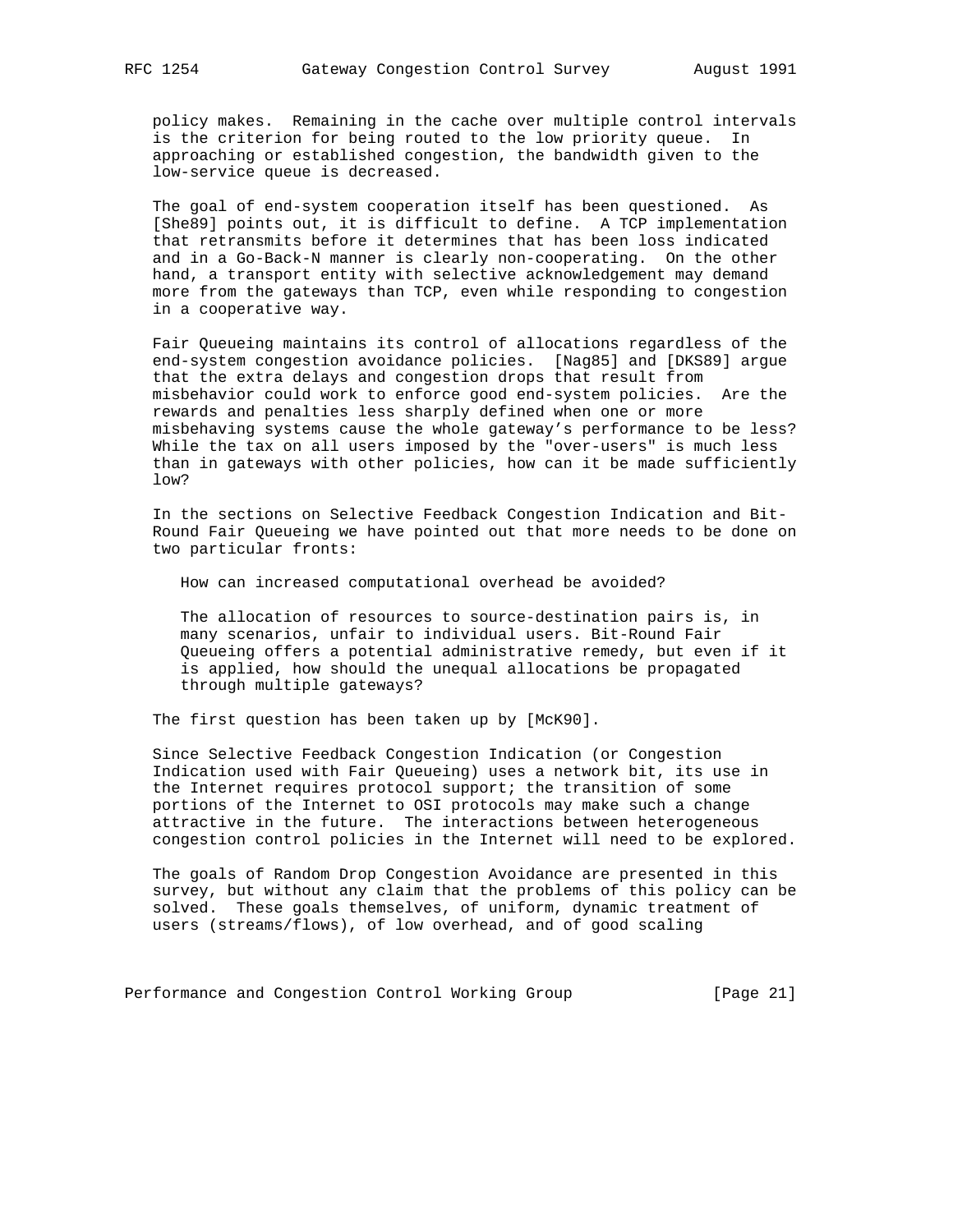policy makes. Remaining in the cache over multiple control intervals is the criterion for being routed to the low priority queue. In approaching or established congestion, the bandwidth given to the low-service queue is decreased.

 The goal of end-system cooperation itself has been questioned. As [She89] points out, it is difficult to define. A TCP implementation that retransmits before it determines that has been loss indicated and in a Go-Back-N manner is clearly non-cooperating. On the other hand, a transport entity with selective acknowledgement may demand more from the gateways than TCP, even while responding to congestion in a cooperative way.

 Fair Queueing maintains its control of allocations regardless of the end-system congestion avoidance policies. [Nag85] and [DKS89] argue that the extra delays and congestion drops that result from misbehavior could work to enforce good end-system policies. Are the rewards and penalties less sharply defined when one or more misbehaving systems cause the whole gateway's performance to be less? While the tax on all users imposed by the "over-users" is much less than in gateways with other policies, how can it be made sufficiently low?

 In the sections on Selective Feedback Congestion Indication and Bit- Round Fair Queueing we have pointed out that more needs to be done on two particular fronts:

How can increased computational overhead be avoided?

 The allocation of resources to source-destination pairs is, in many scenarios, unfair to individual users. Bit-Round Fair Queueing offers a potential administrative remedy, but even if it is applied, how should the unequal allocations be propagated through multiple gateways?

The first question has been taken up by [McK90].

 Since Selective Feedback Congestion Indication (or Congestion Indication used with Fair Queueing) uses a network bit, its use in the Internet requires protocol support; the transition of some portions of the Internet to OSI protocols may make such a change attractive in the future. The interactions between heterogeneous congestion control policies in the Internet will need to be explored.

 The goals of Random Drop Congestion Avoidance are presented in this survey, but without any claim that the problems of this policy can be solved. These goals themselves, of uniform, dynamic treatment of users (streams/flows), of low overhead, and of good scaling

Performance and Congestion Control Working Group [Page 21]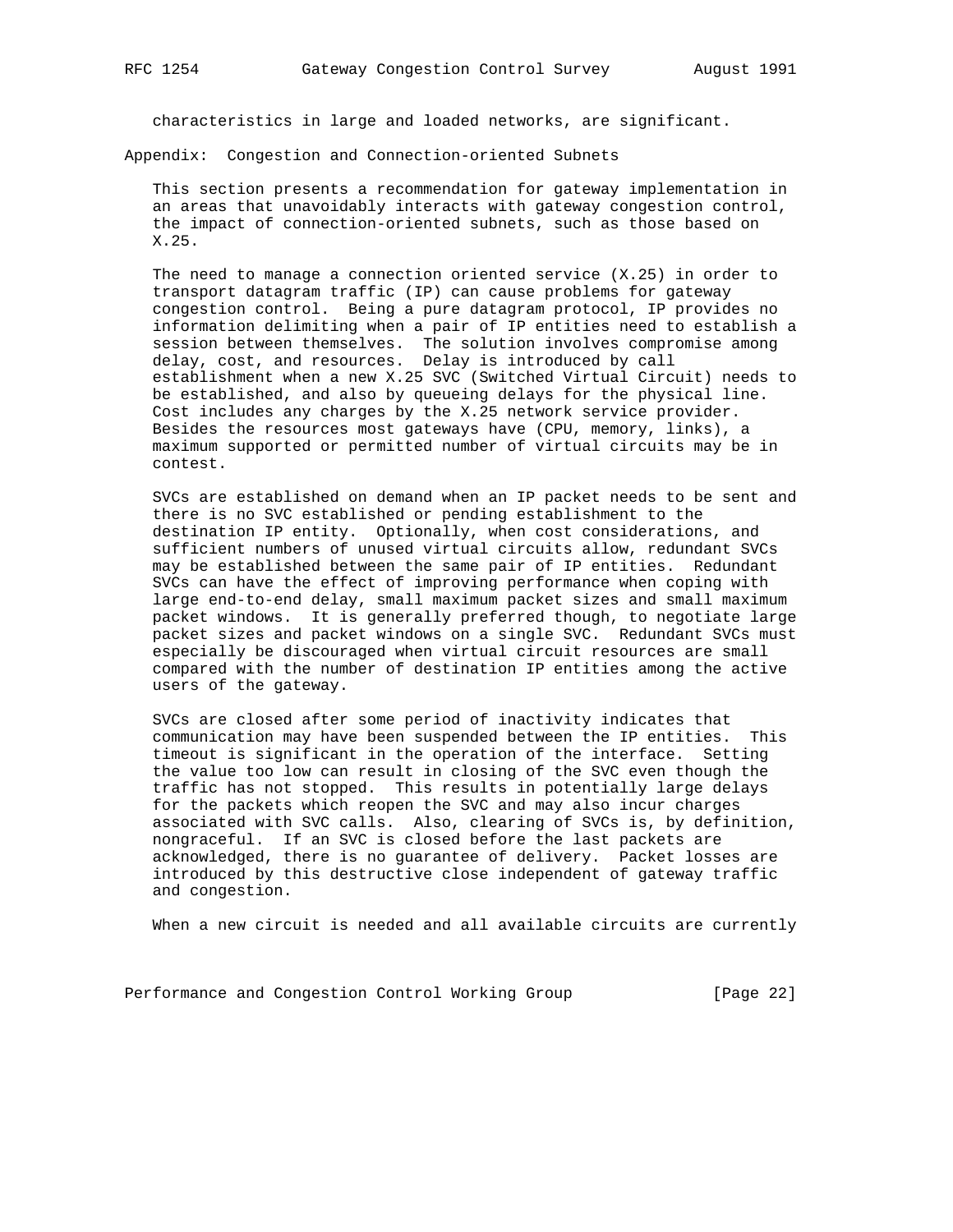characteristics in large and loaded networks, are significant.

Appendix: Congestion and Connection-oriented Subnets

 This section presents a recommendation for gateway implementation in an areas that unavoidably interacts with gateway congestion control, the impact of connection-oriented subnets, such as those based on X.25.

 The need to manage a connection oriented service (X.25) in order to transport datagram traffic (IP) can cause problems for gateway congestion control. Being a pure datagram protocol, IP provides no information delimiting when a pair of IP entities need to establish a session between themselves. The solution involves compromise among delay, cost, and resources. Delay is introduced by call establishment when a new X.25 SVC (Switched Virtual Circuit) needs to be established, and also by queueing delays for the physical line. Cost includes any charges by the X.25 network service provider. Besides the resources most gateways have (CPU, memory, links), a maximum supported or permitted number of virtual circuits may be in contest.

 SVCs are established on demand when an IP packet needs to be sent and there is no SVC established or pending establishment to the destination IP entity. Optionally, when cost considerations, and sufficient numbers of unused virtual circuits allow, redundant SVCs may be established between the same pair of IP entities. Redundant SVCs can have the effect of improving performance when coping with large end-to-end delay, small maximum packet sizes and small maximum packet windows. It is generally preferred though, to negotiate large packet sizes and packet windows on a single SVC. Redundant SVCs must especially be discouraged when virtual circuit resources are small compared with the number of destination IP entities among the active users of the gateway.

 SVCs are closed after some period of inactivity indicates that communication may have been suspended between the IP entities. This timeout is significant in the operation of the interface. Setting the value too low can result in closing of the SVC even though the traffic has not stopped. This results in potentially large delays for the packets which reopen the SVC and may also incur charges associated with SVC calls. Also, clearing of SVCs is, by definition, nongraceful. If an SVC is closed before the last packets are acknowledged, there is no guarantee of delivery. Packet losses are introduced by this destructive close independent of gateway traffic and congestion.

When a new circuit is needed and all available circuits are currently

Performance and Congestion Control Working Group [Page 22]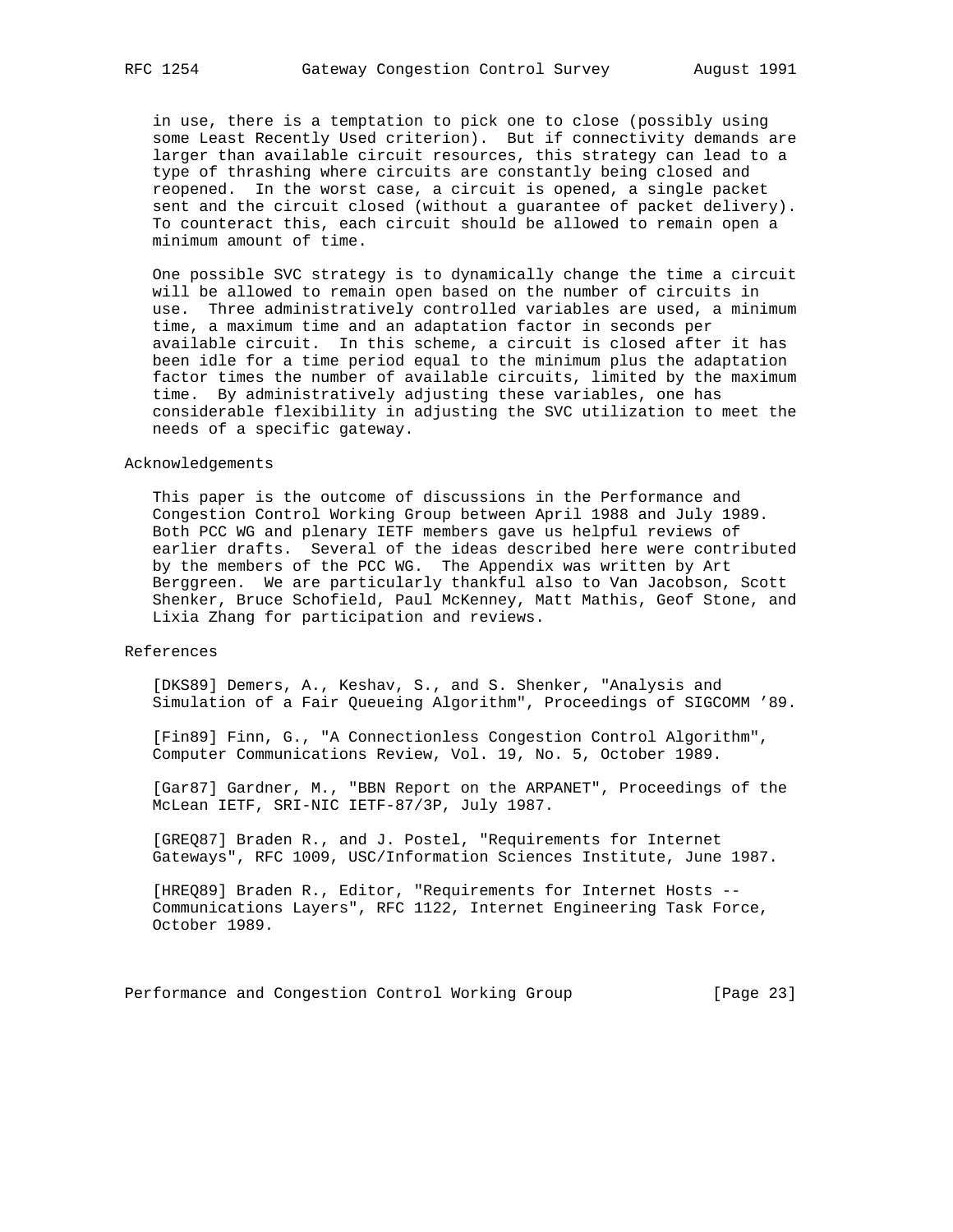in use, there is a temptation to pick one to close (possibly using some Least Recently Used criterion). But if connectivity demands are larger than available circuit resources, this strategy can lead to a type of thrashing where circuits are constantly being closed and reopened. In the worst case, a circuit is opened, a single packet sent and the circuit closed (without a guarantee of packet delivery). To counteract this, each circuit should be allowed to remain open a minimum amount of time.

 One possible SVC strategy is to dynamically change the time a circuit will be allowed to remain open based on the number of circuits in use. Three administratively controlled variables are used, a minimum time, a maximum time and an adaptation factor in seconds per available circuit. In this scheme, a circuit is closed after it has been idle for a time period equal to the minimum plus the adaptation factor times the number of available circuits, limited by the maximum time. By administratively adjusting these variables, one has considerable flexibility in adjusting the SVC utilization to meet the needs of a specific gateway.

#### Acknowledgements

 This paper is the outcome of discussions in the Performance and Congestion Control Working Group between April 1988 and July 1989. Both PCC WG and plenary IETF members gave us helpful reviews of earlier drafts. Several of the ideas described here were contributed by the members of the PCC WG. The Appendix was written by Art Berggreen. We are particularly thankful also to Van Jacobson, Scott Shenker, Bruce Schofield, Paul McKenney, Matt Mathis, Geof Stone, and Lixia Zhang for participation and reviews.

#### References

 [DKS89] Demers, A., Keshav, S., and S. Shenker, "Analysis and Simulation of a Fair Queueing Algorithm", Proceedings of SIGCOMM '89.

 [Fin89] Finn, G., "A Connectionless Congestion Control Algorithm", Computer Communications Review, Vol. 19, No. 5, October 1989.

 [Gar87] Gardner, M., "BBN Report on the ARPANET", Proceedings of the McLean IETF, SRI-NIC IETF-87/3P, July 1987.

 [GREQ87] Braden R., and J. Postel, "Requirements for Internet Gateways", RFC 1009, USC/Information Sciences Institute, June 1987.

 [HREQ89] Braden R., Editor, "Requirements for Internet Hosts -- Communications Layers", RFC 1122, Internet Engineering Task Force, October 1989.

Performance and Congestion Control Working Group [Page 23]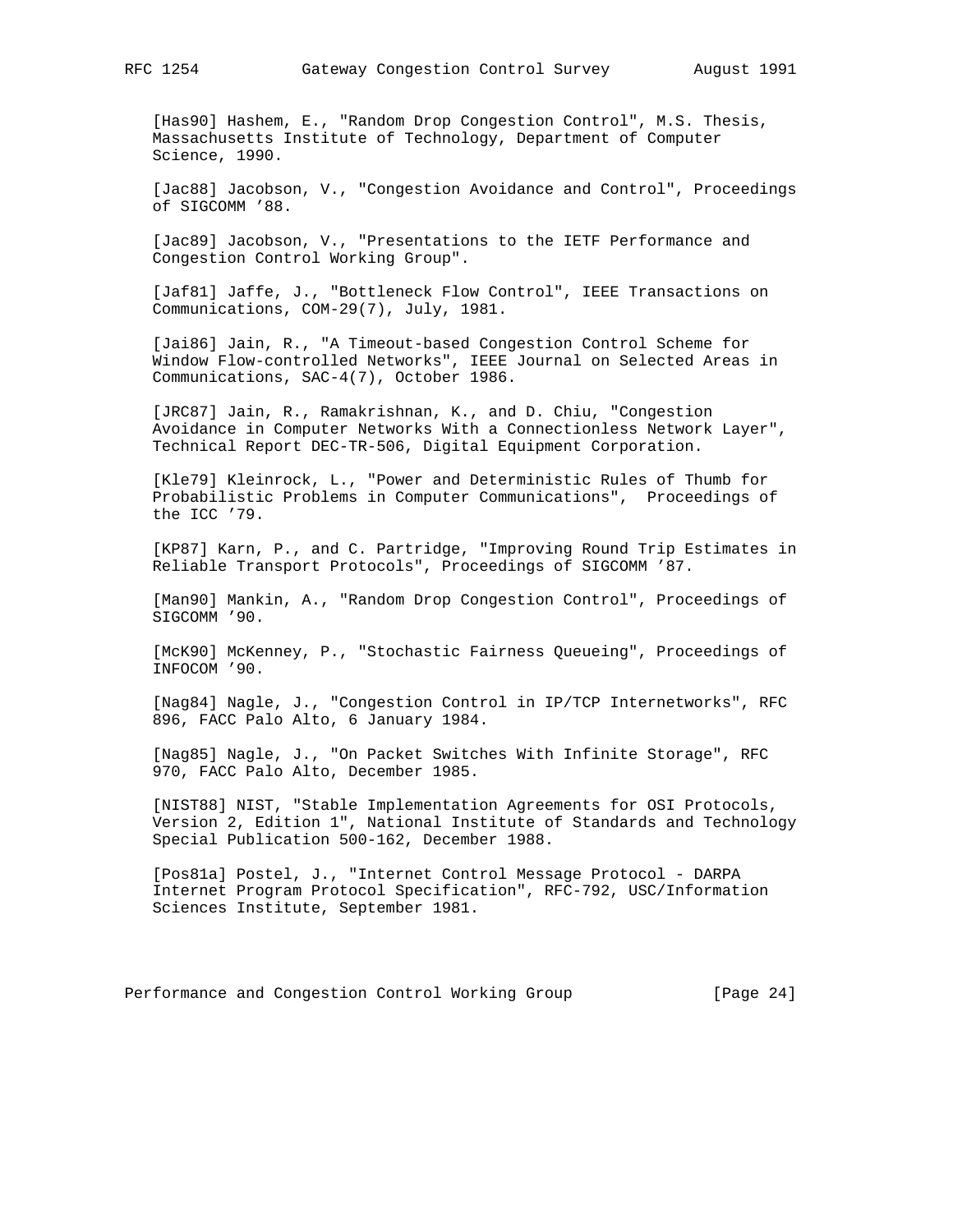[Has90] Hashem, E., "Random Drop Congestion Control", M.S. Thesis, Massachusetts Institute of Technology, Department of Computer Science, 1990.

 [Jac88] Jacobson, V., "Congestion Avoidance and Control", Proceedings of SIGCOMM '88.

 [Jac89] Jacobson, V., "Presentations to the IETF Performance and Congestion Control Working Group".

 [Jaf81] Jaffe, J., "Bottleneck Flow Control", IEEE Transactions on Communications, COM-29(7), July, 1981.

 [Jai86] Jain, R., "A Timeout-based Congestion Control Scheme for Window Flow-controlled Networks", IEEE Journal on Selected Areas in Communications, SAC-4(7), October 1986.

 [JRC87] Jain, R., Ramakrishnan, K., and D. Chiu, "Congestion Avoidance in Computer Networks With a Connectionless Network Layer", Technical Report DEC-TR-506, Digital Equipment Corporation.

 [Kle79] Kleinrock, L., "Power and Deterministic Rules of Thumb for Probabilistic Problems in Computer Communications", Proceedings of the ICC '79.

 [KP87] Karn, P., and C. Partridge, "Improving Round Trip Estimates in Reliable Transport Protocols", Proceedings of SIGCOMM '87.

 [Man90] Mankin, A., "Random Drop Congestion Control", Proceedings of SIGCOMM '90.

 [McK90] McKenney, P., "Stochastic Fairness Queueing", Proceedings of INFOCOM '90.

 [Nag84] Nagle, J., "Congestion Control in IP/TCP Internetworks", RFC 896, FACC Palo Alto, 6 January 1984.

 [Nag85] Nagle, J., "On Packet Switches With Infinite Storage", RFC 970, FACC Palo Alto, December 1985.

 [NIST88] NIST, "Stable Implementation Agreements for OSI Protocols, Version 2, Edition 1", National Institute of Standards and Technology Special Publication 500-162, December 1988.

 [Pos81a] Postel, J., "Internet Control Message Protocol - DARPA Internet Program Protocol Specification", RFC-792, USC/Information Sciences Institute, September 1981.

Performance and Congestion Control Working Group [Page 24]